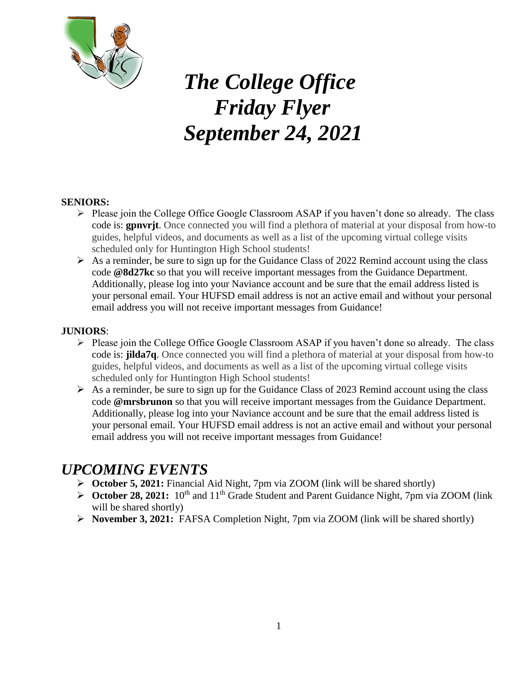

# *The College Office Friday Flyer September 24, 2021*

#### **SENIORS:**

- $\triangleright$  Please join the College Office Google Classroom ASAP if you haven't done so already. The class code is: **gpnvrjt**. Once connected you will find a plethora of material at your disposal from how-to guides, helpful videos, and documents as well as a list of the upcoming virtual college visits scheduled only for Huntington High School students!
- $\triangleright$  As a reminder, be sure to sign up for the Guidance Class of 2022 Remind account using the class code **@8d27kc** so that you will receive important messages from the Guidance Department. Additionally, please log into your Naviance account and be sure that the email address listed is your personal email. Your HUFSD email address is not an active email and without your personal email address you will not receive important messages from Guidance!

#### **JUNIORS**:

- $\triangleright$  Please join the College Office Google Classroom ASAP if you haven't done so already. The class code is: **jilda7q**. Once connected you will find a plethora of material at your disposal from how-to guides, helpful videos, and documents as well as a list of the upcoming virtual college visits scheduled only for Huntington High School students!
- $\triangleright$  As a reminder, be sure to sign up for the Guidance Class of 2023 Remind account using the class code **@mrsbrunon** so that you will receive important messages from the Guidance Department. Additionally, please log into your Naviance account and be sure that the email address listed is your personal email. Your HUFSD email address is not an active email and without your personal email address you will not receive important messages from Guidance!

### *UPCOMING EVENTS*

- **October 5, 2021:** Financial Aid Night, 7pm via ZOOM (link will be shared shortly)
- **October 28, 2021:** 10<sup>th</sup> and 11<sup>th</sup> Grade Student and Parent Guidance Night, 7pm via ZOOM (link will be shared shortly)
- **November 3, 2021:** FAFSA Completion Night, 7pm via ZOOM (link will be shared shortly)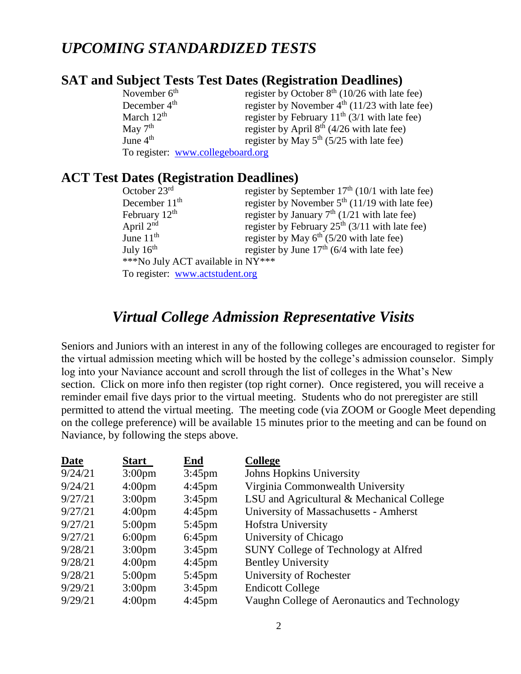### *UPCOMING STANDARDIZED TESTS*

### **SAT and Subject Tests Test Dates (Registration Deadlines)**

| November $6th$           | register by October $8th$ (10/26 with late fee)  |
|--------------------------|--------------------------------------------------|
| December 4 <sup>th</sup> | register by November $4th$ (11/23 with late fee) |
| March $12^{th}$          | register by February $11th$ (3/1 with late fee)  |
| May $7th$                | register by April $8th$ (4/26 with late fee)     |
| June $4th$               | register by May $5^{th}$ (5/25 with late fee)    |
|                          | To register: www.collegeboard.org                |

### **ACT Test Dates (Registration Deadlines)**

| October $23rd$                    | register by September $17th$ (10/1 with late fee) |
|-----------------------------------|---------------------------------------------------|
| December $11th$                   | register by November $5th$ (11/19 with late fee)  |
| February $12th$                   | register by January $7th$ (1/21 with late fee)    |
| April $2nd$                       | register by February $25th$ (3/11 with late fee)  |
| June $11th$                       | register by May $6th$ (5/20 with late fee)        |
| July $16th$                       | register by June $17th$ (6/4 with late fee)       |
| ***No July ACT available in NY*** |                                                   |
| To register: www.actstudent.org   |                                                   |

### *Virtual College Admission Representative Visits*

Seniors and Juniors with an interest in any of the following colleges are encouraged to register for the virtual admission meeting which will be hosted by the college's admission counselor. Simply log into your Naviance account and scroll through the list of colleges in the What's New section. Click on more info then register (top right corner). Once registered, you will receive a reminder email five days prior to the virtual meeting. Students who do not preregister are still permitted to attend the virtual meeting. The meeting code (via ZOOM or Google Meet depending on the college preference) will be available 15 minutes prior to the meeting and can be found on Naviance, by following the steps above.

| <b>Date</b> | <b>Start</b>       | End              | <b>College</b>                               |
|-------------|--------------------|------------------|----------------------------------------------|
| 9/24/21     | 3:00 <sub>pm</sub> | $3:45$ pm        | <b>Johns Hopkins University</b>              |
| 9/24/21     | $4:00 \text{pm}$   | $4:45 \text{pm}$ | Virginia Commonwealth University             |
| 9/27/21     | 3:00 <sub>pm</sub> | $3:45$ pm        | LSU and Agricultural & Mechanical College    |
| 9/27/21     | $4:00 \text{pm}$   | $4:45 \text{pm}$ | University of Massachusetts - Amherst        |
| 9/27/21     | $5:00 \text{pm}$   | $5:45$ pm        | Hofstra University                           |
| 9/27/21     | $6:00 \text{pm}$   | $6:45$ pm        | University of Chicago                        |
| 9/28/21     | 3:00 <sub>pm</sub> | $3:45 \text{pm}$ | <b>SUNY College of Technology at Alfred</b>  |
| 9/28/21     | $4:00 \text{pm}$   | $4:45 \text{pm}$ | <b>Bentley University</b>                    |
| 9/28/21     | $5:00 \text{pm}$   | $5:45 \text{pm}$ | University of Rochester                      |
| 9/29/21     | 3:00 <sub>pm</sub> | $3:45 \text{pm}$ | <b>Endicott College</b>                      |
| 9/29/21     | 4:00 <sub>pm</sub> | $4:45$ pm        | Vaughn College of Aeronautics and Technology |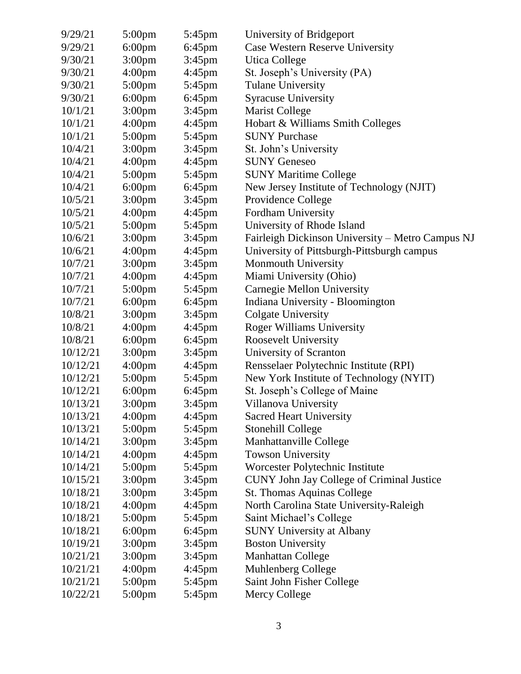| 9/29/21  | $5:00 \text{pm}$   | 5:45pm           | University of Bridgeport                         |
|----------|--------------------|------------------|--------------------------------------------------|
| 9/29/21  | $6:00 \text{pm}$   | $6:45$ pm        | <b>Case Western Reserve University</b>           |
| 9/30/21  | 3:00 <sub>pm</sub> | $3:45$ pm        | <b>Utica College</b>                             |
| 9/30/21  | 4:00 <sub>pm</sub> | $4:45$ pm        | St. Joseph's University (PA)                     |
| 9/30/21  | 5:00pm             | $5:45$ pm        | <b>Tulane University</b>                         |
| 9/30/21  | $6:00$ pm          | $6:45$ pm        | <b>Syracuse University</b>                       |
| 10/1/21  | 3:00 <sub>pm</sub> | $3:45$ pm        | <b>Marist College</b>                            |
| 10/1/21  | 4:00 <sub>pm</sub> | $4:45$ pm        | Hobart & Williams Smith Colleges                 |
| 10/1/21  | 5:00pm             | 5:45pm           | <b>SUNY Purchase</b>                             |
| 10/4/21  | 3:00 <sub>pm</sub> | $3:45$ pm        | St. John's University                            |
| 10/4/21  | 4:00 <sub>pm</sub> | $4:45$ pm        | <b>SUNY Geneseo</b>                              |
| 10/4/21  | $5:00 \text{pm}$   | $5:45 \text{pm}$ | <b>SUNY Maritime College</b>                     |
| 10/4/21  | $6:00$ pm          | $6:45$ pm        | New Jersey Institute of Technology (NJIT)        |
| 10/5/21  | 3:00 <sub>pm</sub> | $3:45$ pm        | Providence College                               |
| 10/5/21  | 4:00 <sub>pm</sub> | $4:45$ pm        | Fordham University                               |
| 10/5/21  | $5:00 \text{pm}$   | $5:45$ pm        | University of Rhode Island                       |
| 10/6/21  | 3:00 <sub>pm</sub> | $3:45$ pm        | Fairleigh Dickinson University - Metro Campus NJ |
| 10/6/21  | 4:00 <sub>pm</sub> | $4:45$ pm        | University of Pittsburgh-Pittsburgh campus       |
| 10/7/21  | 3:00 <sub>pm</sub> | $3:45$ pm        | Monmouth University                              |
| 10/7/21  | 4:00 <sub>pm</sub> | $4:45$ pm        | Miami University (Ohio)                          |
| 10/7/21  | 5:00pm             | $5:45$ pm        | Carnegie Mellon University                       |
| 10/7/21  | $6:00$ pm          | $6:45$ pm        | Indiana University - Bloomington                 |
| 10/8/21  | 3:00 <sub>pm</sub> | $3:45$ pm        | <b>Colgate University</b>                        |
| 10/8/21  | 4:00 <sub>pm</sub> | $4:45$ pm        | <b>Roger Williams University</b>                 |
| 10/8/21  | 6:00pm             | $6:45$ pm        | Roosevelt University                             |
| 10/12/21 | 3:00 <sub>pm</sub> | $3:45$ pm        | University of Scranton                           |
| 10/12/21 | 4:00 <sub>pm</sub> | $4:45$ pm        | Rensselaer Polytechnic Institute (RPI)           |
| 10/12/21 | $5:00$ pm          | 5:45pm           | New York Institute of Technology (NYIT)          |
| 10/12/21 | 6:00pm             | $6:45$ pm        | St. Joseph's College of Maine                    |
| 10/13/21 | 3:00pm             | $3:45$ pm        | Villanova University                             |
| 10/13/21 | 4:00 <sub>pm</sub> | $4:45$ pm        | <b>Sacred Heart University</b>                   |
| 10/13/21 | 5:00pm             | 5:45pm           | Stonehill College                                |
| 10/14/21 | 3:00 <sub>pm</sub> | $3:45$ pm        | Manhattanville College                           |
| 10/14/21 | 4:00 <sub>pm</sub> | $4:45$ pm        | <b>Towson University</b>                         |
| 10/14/21 | $5:00 \text{pm}$   | $5:45$ pm        | Worcester Polytechnic Institute                  |
| 10/15/21 | 3:00 <sub>pm</sub> | $3:45$ pm        | CUNY John Jay College of Criminal Justice        |
| 10/18/21 | 3:00 <sub>pm</sub> | $3:45$ pm        | St. Thomas Aquinas College                       |
| 10/18/21 | 4:00 <sub>pm</sub> | $4:45$ pm        | North Carolina State University-Raleigh          |
| 10/18/21 | 5:00pm             | 5:45pm           | Saint Michael's College                          |
| 10/18/21 | $6:00$ pm          | 6:45pm           | <b>SUNY University at Albany</b>                 |
| 10/19/21 | 3:00 <sub>pm</sub> | $3:45$ pm        | <b>Boston University</b>                         |
| 10/21/21 | 3:00 <sub>pm</sub> | 3:45pm           | <b>Manhattan College</b>                         |
| 10/21/21 | 4:00 <sub>pm</sub> | $4:45$ pm        | Muhlenberg College                               |
| 10/21/21 | $5:00 \text{pm}$   | 5:45pm           | Saint John Fisher College                        |
| 10/22/21 | $5:00 \text{pm}$   | 5:45pm           | Mercy College                                    |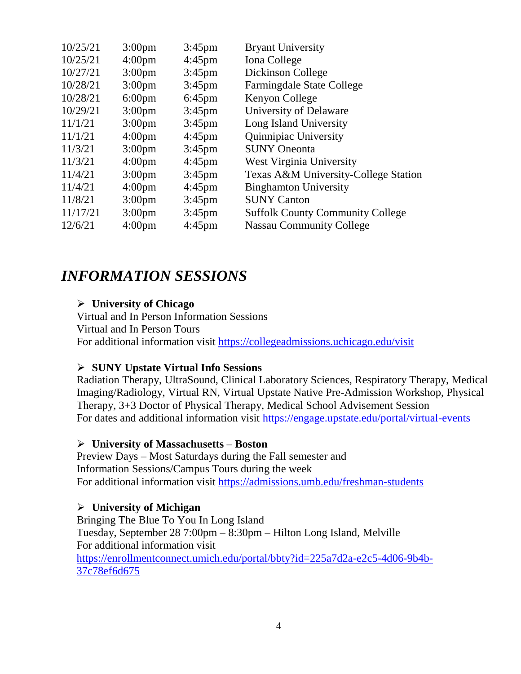| 10/25/21 | 3:00 <sub>pm</sub> | $3:45$ pm        | <b>Bryant University</b>                |
|----------|--------------------|------------------|-----------------------------------------|
| 10/25/21 | 4:00 <sub>pm</sub> | $4:45 \text{pm}$ | Iona College                            |
| 10/27/21 | 3:00 <sub>pm</sub> | $3:45$ pm        | Dickinson College                       |
| 10/28/21 | 3:00 <sub>pm</sub> | $3:45$ pm        | Farmingdale State College               |
| 10/28/21 | $6:00 \text{pm}$   | $6:45$ pm        | Kenyon College                          |
| 10/29/21 | 3:00 <sub>pm</sub> | $3:45$ pm        | University of Delaware                  |
| 11/1/21  | 3:00 <sub>pm</sub> | $3:45$ pm        | Long Island University                  |
| 11/1/21  | 4:00 <sub>pm</sub> | $4:45 \text{pm}$ | Quinnipiac University                   |
| 11/3/21  | 3:00 <sub>pm</sub> | $3:45$ pm        | <b>SUNY</b> Oneonta                     |
| 11/3/21  | 4:00 <sub>pm</sub> | $4:45 \text{pm}$ | West Virginia University                |
| 11/4/21  | 3:00 <sub>pm</sub> | $3:45$ pm        | Texas A&M University-College Station    |
| 11/4/21  | 4:00 <sub>pm</sub> | $4:45 \text{pm}$ | <b>Binghamton University</b>            |
| 11/8/21  | 3:00 <sub>pm</sub> | $3:45$ pm        | <b>SUNY Canton</b>                      |
| 11/17/21 | 3:00 <sub>pm</sub> | $3:45 \text{pm}$ | <b>Suffolk County Community College</b> |
| 12/6/21  | 4:00 <sub>pm</sub> | $4:45 \text{pm}$ | <b>Nassau Community College</b>         |
|          |                    |                  |                                         |

### *INFORMATION SESSIONS*

### **University of Chicago**

Virtual and In Person Information Sessions Virtual and In Person Tours For additional information visit<https://collegeadmissions.uchicago.edu/visit>

### **SUNY Upstate Virtual Info Sessions**

Radiation Therapy, UltraSound, Clinical Laboratory Sciences, Respiratory Therapy, Medical Imaging/Radiology, Virtual RN, Virtual Upstate Native Pre-Admission Workshop, Physical Therapy, 3+3 Doctor of Physical Therapy, Medical School Advisement Session For dates and additional information visit<https://engage.upstate.edu/portal/virtual-events>

### **University of Massachusetts – Boston**

Preview Days – Most Saturdays during the Fall semester and Information Sessions/Campus Tours during the week For additional information visit<https://admissions.umb.edu/freshman-students>

### **University of Michigan**

Bringing The Blue To You In Long Island Tuesday, September 28 7:00pm – 8:30pm – Hilton Long Island, Melville For additional information visit [https://enrollmentconnect.umich.edu/portal/bbty?id=225a7d2a-e2c5-4d06-9b4b-](https://enrollmentconnect.umich.edu/portal/bbty?id=225a7d2a-e2c5-4d06-9b4b-37c78ef6d675)[37c78ef6d675](https://enrollmentconnect.umich.edu/portal/bbty?id=225a7d2a-e2c5-4d06-9b4b-37c78ef6d675)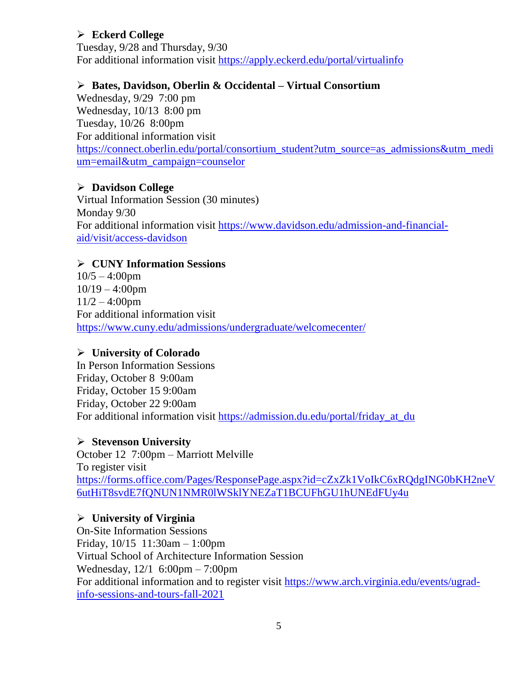### **Eckerd College**

Tuesday, 9/28 and Thursday, 9/30 For additional information visit<https://apply.eckerd.edu/portal/virtualinfo>

### **Bates, Davidson, Oberlin & Occidental – Virtual Consortium**

Wednesday, 9/29 7:00 pm Wednesday, 10/13 8:00 pm Tuesday, 10/26 8:00pm For additional information visit [https://connect.oberlin.edu/portal/consortium\\_student?utm\\_source=as\\_admissions&utm\\_medi](https://connect.oberlin.edu/portal/consortium_student?utm_source=as_admissions&utm_medium=email&utm_campaign=counselor) [um=email&utm\\_campaign=counselor](https://connect.oberlin.edu/portal/consortium_student?utm_source=as_admissions&utm_medium=email&utm_campaign=counselor)

### **Davidson College**

Virtual Information Session (30 minutes) Monday 9/30 For additional information visit [https://www.davidson.edu/admission-and-financial](https://www.davidson.edu/admission-and-financial-aid/visit/access-davidson)[aid/visit/access-davidson](https://www.davidson.edu/admission-and-financial-aid/visit/access-davidson)

### **CUNY Information Sessions**

 $10/5 - 4:00$ pm  $10/19 - 4:00$ pm  $11/2 - 4:00$ pm For additional information visit <https://www.cuny.edu/admissions/undergraduate/welcomecenter/>

### **University of Colorado**

In Person Information Sessions Friday, October 8 9:00am Friday, October 15 9:00am Friday, October 22 9:00am For additional information visit [https://admission.du.edu/portal/friday\\_at\\_du](https://admission.du.edu/portal/friday_at_du)

### **Stevenson University**

October 12 7:00pm – Marriott Melville To register visit [https://forms.office.com/Pages/ResponsePage.aspx?id=cZxZk1VoIkC6xRQdgING0bKH2neV](https://forms.office.com/Pages/ResponsePage.aspx?id=cZxZk1VoIkC6xRQdgING0bKH2neV6utHiT8svdE7fQNUN1NMR0lWSklYNEZaT1BCUFhGU1hUNEdFUy4u) [6utHiT8svdE7fQNUN1NMR0lWSklYNEZaT1BCUFhGU1hUNEdFUy4u](https://forms.office.com/Pages/ResponsePage.aspx?id=cZxZk1VoIkC6xRQdgING0bKH2neV6utHiT8svdE7fQNUN1NMR0lWSklYNEZaT1BCUFhGU1hUNEdFUy4u)

### **University of Virginia**

On-Site Information Sessions Friday, 10/15 11:30am – 1:00pm Virtual School of Architecture Information Session Wednesday, 12/1 6:00pm – 7:00pm For additional information and to register visit [https://www.arch.virginia.edu/events/ugrad](https://www.arch.virginia.edu/events/ugrad-info-sessions-and-tours-fall-2021)[info-sessions-and-tours-fall-2021](https://www.arch.virginia.edu/events/ugrad-info-sessions-and-tours-fall-2021)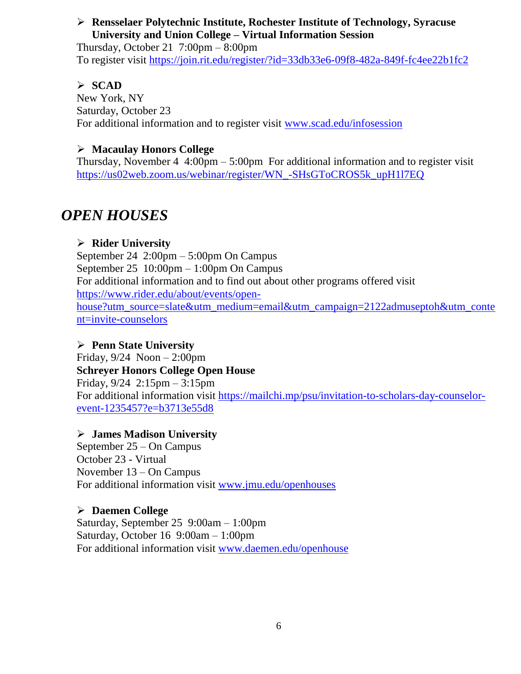### **Rensselaer Polytechnic Institute, Rochester Institute of Technology, Syracuse University and Union College – Virtual Information Session**

Thursday, October 21  $7:00 \text{pm} - 8:00 \text{pm}$ To register visit<https://join.rit.edu/register/?id=33db33e6-09f8-482a-849f-fc4ee22b1fc2>

### **SCAD**

New York, NY Saturday, October 23 For additional information and to register visit [www.scad.edu/infosession](http://www.scad.edu/infosession)

### **Macaulay Honors College**

Thursday, November  $4 \cdot 4:00 \text{pm} - 5:00 \text{pm}$  For additional information and to register visit [https://us02web.zoom.us/webinar/register/WN\\_-SHsGToCROS5k\\_upH1l7EQ](https://us02web.zoom.us/webinar/register/WN_-SHsGToCROS5k_upH1l7EQ)

## *OPEN HOUSES*

### **Rider University**

September 24 2:00pm – 5:00pm On Campus September 25 10:00pm – 1:00pm On Campus For additional information and to find out about other programs offered visit [https://www.rider.edu/about/events/open](https://www.rider.edu/about/events/open-house?utm_source=slate&utm_medium=email&utm_campaign=2122admuseptoh&utm_content=invite-counselors)[house?utm\\_source=slate&utm\\_medium=email&utm\\_campaign=2122admuseptoh&utm\\_conte](https://www.rider.edu/about/events/open-house?utm_source=slate&utm_medium=email&utm_campaign=2122admuseptoh&utm_content=invite-counselors) [nt=invite-counselors](https://www.rider.edu/about/events/open-house?utm_source=slate&utm_medium=email&utm_campaign=2122admuseptoh&utm_content=invite-counselors)

### **Penn State University**

Friday,  $9/24$  Noon  $-2:00$ pm **Schreyer Honors College Open House** Friday, 9/24 2:15pm – 3:15pm For additional information visit [https://mailchi.mp/psu/invitation-to-scholars-day-counselor](https://mailchi.mp/psu/invitation-to-scholars-day-counselor-event-1235457?e=b3713e55d8)[event-1235457?e=b3713e55d8](https://mailchi.mp/psu/invitation-to-scholars-day-counselor-event-1235457?e=b3713e55d8)

### **James Madison University**

September 25 – On Campus October 23 - Virtual November 13 – On Campus For additional information visit [www.jmu.edu/openhouses](http://www.jmu.edu/openhouses)

### **Daemen College**

Saturday, September 25 9:00am – 1:00pm Saturday, October 16 9:00am – 1:00pm For additional information visit [www.daemen.edu/openhouse](http://www.daemen.edu/openhouse)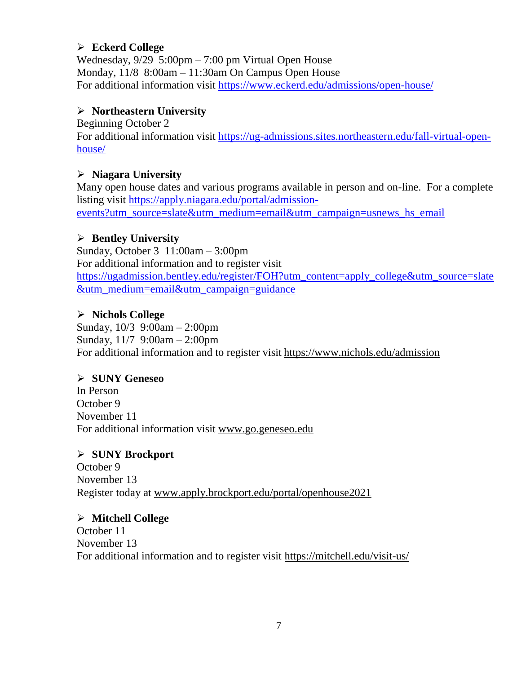### **Eckerd College**

Wednesday, 9/29 5:00pm – 7:00 pm Virtual Open House Monday, 11/8 8:00am – 11:30am On Campus Open House For additional information visit<https://www.eckerd.edu/admissions/open-house/>

### **Northeastern University**

Beginning October 2

For additional information visit [https://ug-admissions.sites.northeastern.edu/fall-virtual-open](https://ug-admissions.sites.northeastern.edu/fall-virtual-open-house/)[house/](https://ug-admissions.sites.northeastern.edu/fall-virtual-open-house/)

### **Niagara University**

Many open house dates and various programs available in person and on-line. For a complete listing visit [https://apply.niagara.edu/portal/admission](https://apply.niagara.edu/portal/admission-events?utm_source=slate&utm_medium=email&utm_campaign=usnews_hs_email)[events?utm\\_source=slate&utm\\_medium=email&utm\\_campaign=usnews\\_hs\\_email](https://apply.niagara.edu/portal/admission-events?utm_source=slate&utm_medium=email&utm_campaign=usnews_hs_email)

### **Bentley University**

Sunday, October 3 11:00am – 3:00pm For additional information and to register visit [https://ugadmission.bentley.edu/register/FOH?utm\\_content=apply\\_college&utm\\_source=slate](https://ugadmission.bentley.edu/register/FOH?utm_content=apply_college&utm_source=slate&utm_medium=email&utm_campaign=guidance) [&utm\\_medium=email&utm\\_campaign=guidance](https://ugadmission.bentley.edu/register/FOH?utm_content=apply_college&utm_source=slate&utm_medium=email&utm_campaign=guidance)

### **Nichols College**

Sunday, 10/3 9:00am – 2:00pm Sunday, 11/7 9:00am – 2:00pm For additional information and to register visit <https://www.nichols.edu/admission>

### **SUNY Geneseo**

In Person October 9 November 11 For additional information visit [www.go.geneseo.edu](http://www.go.geneseo.edu/)

### **SUNY Brockport**

October 9 November 13 Register today at [www.apply.brockport.edu/portal/openhouse2021](http://www.apply.brockport.edu/portal/openhouse2021)

### **Mitchell College**

October 11 November 13 For additional information and to register visit<https://mitchell.edu/visit-us/>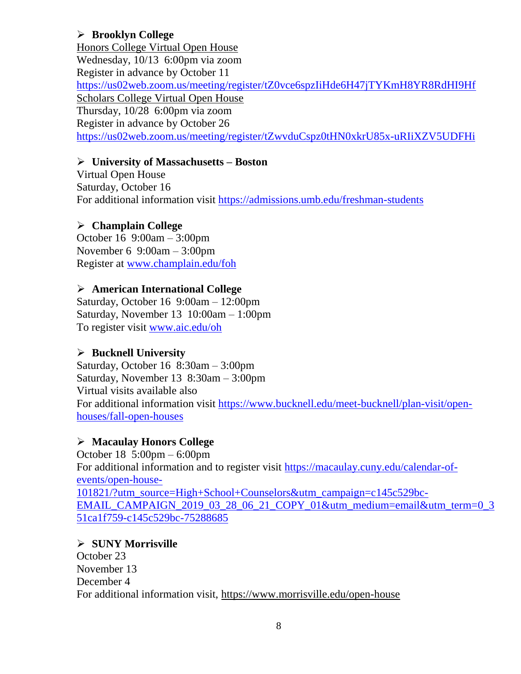### **Brooklyn College**

Honors College Virtual Open House Wednesday, 10/13 6:00pm via zoom Register in advance by October 11 <https://us02web.zoom.us/meeting/register/tZ0vce6spzIiHde6H47jTYKmH8YR8RdHI9Hf> Scholars College Virtual Open House Thursday, 10/28 6:00pm via zoom Register in advance by October 26 <https://us02web.zoom.us/meeting/register/tZwvduCspz0tHN0xkrU85x-uRIiXZV5UDFHi>

### **University of Massachusetts – Boston**

Virtual Open House Saturday, October 16 For additional information visit<https://admissions.umb.edu/freshman-students>

### **Champlain College**

October 16 9:00am – 3:00pm November 6 9:00am – 3:00pm Register at [www.champlain.edu/foh](http://www.champlain.edu/foh)

### **American International College**

Saturday, October 16 9:00am – 12:00pm Saturday, November 13 10:00am – 1:00pm To register visit [www.aic.edu/oh](http://www.aic.edu/oh)

### **Bucknell University**

Saturday, October 16 8:30am – 3:00pm Saturday, November 13 8:30am – 3:00pm Virtual visits available also For additional information visit [https://www.bucknell.edu/meet-bucknell/plan-visit/open](https://www.bucknell.edu/meet-bucknell/plan-visit/open-houses/fall-open-houses)[houses/fall-open-houses](https://www.bucknell.edu/meet-bucknell/plan-visit/open-houses/fall-open-houses)

### **Macaulay Honors College**

October 18 5:00pm – 6:00pm For additional information and to register visit [https://macaulay.cuny.edu/calendar-of](https://macaulay.cuny.edu/calendar-of-events/open-house-101821/?utm_source=High+School+Counselors&utm_campaign=c145c529bc-EMAIL_CAMPAIGN_2019_03_28_06_21_COPY_01&utm_medium=email&utm_term=0_351ca1f759-c145c529bc-75288685)[events/open-house-](https://macaulay.cuny.edu/calendar-of-events/open-house-101821/?utm_source=High+School+Counselors&utm_campaign=c145c529bc-EMAIL_CAMPAIGN_2019_03_28_06_21_COPY_01&utm_medium=email&utm_term=0_351ca1f759-c145c529bc-75288685)[101821/?utm\\_source=High+School+Counselors&utm\\_campaign=c145c529bc-](https://macaulay.cuny.edu/calendar-of-events/open-house-101821/?utm_source=High+School+Counselors&utm_campaign=c145c529bc-EMAIL_CAMPAIGN_2019_03_28_06_21_COPY_01&utm_medium=email&utm_term=0_351ca1f759-c145c529bc-75288685)[EMAIL\\_CAMPAIGN\\_2019\\_03\\_28\\_06\\_21\\_COPY\\_01&utm\\_medium=email&utm\\_term=0\\_3](https://macaulay.cuny.edu/calendar-of-events/open-house-101821/?utm_source=High+School+Counselors&utm_campaign=c145c529bc-EMAIL_CAMPAIGN_2019_03_28_06_21_COPY_01&utm_medium=email&utm_term=0_351ca1f759-c145c529bc-75288685) [51ca1f759-c145c529bc-75288685](https://macaulay.cuny.edu/calendar-of-events/open-house-101821/?utm_source=High+School+Counselors&utm_campaign=c145c529bc-EMAIL_CAMPAIGN_2019_03_28_06_21_COPY_01&utm_medium=email&utm_term=0_351ca1f759-c145c529bc-75288685)

### **SUNY Morrisville**

October 23 November 13 December 4 For additional information visit,<https://www.morrisville.edu/open-house>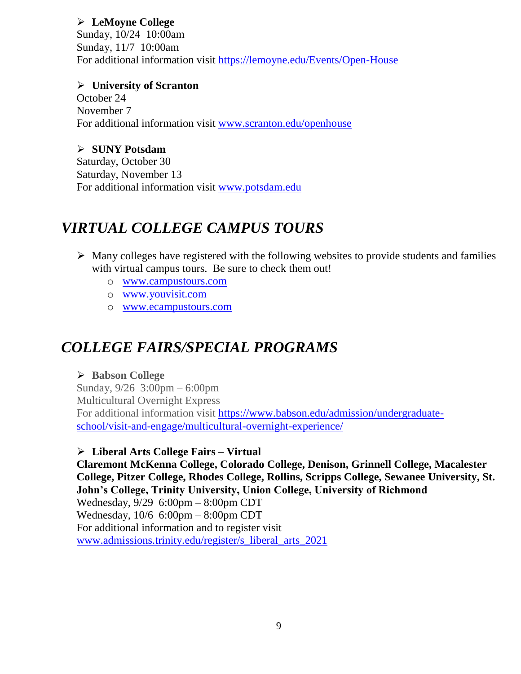### **LeMoyne College**

Sunday, 10/24 10:00am Sunday, 11/7 10:00am For additional information visit<https://lemoyne.edu/Events/Open-House>

**University of Scranton**

October 24 November 7 For additional information visit [www.scranton.edu/openhouse](http://www.scranton.edu/openhouse)

### **SUNY Potsdam**

Saturday, October 30 Saturday, November 13 For additional information visit [www.potsdam.edu](http://www.potsdam.edu/)

### *VIRTUAL COLLEGE CAMPUS TOURS*

- $\triangleright$  Many colleges have registered with the following websites to provide students and families with virtual campus tours. Be sure to check them out!
	- o [www.campustours.com](http://www.campustours.com/)
	- o [www.youvisit.com](http://www.youvisit.com/)
	- o [www.ecampustours.com](http://www.ecampustours.com/)

# *COLLEGE FAIRS/SPECIAL PROGRAMS*

### **Babson College**

Sunday, 9/26 3:00pm – 6:00pm Multicultural Overnight Express For additional information visit [https://www.babson.edu/admission/undergraduate](https://www.babson.edu/admission/undergraduate-school/visit-and-engage/multicultural-overnight-experience/)[school/visit-and-engage/multicultural-overnight-experience/](https://www.babson.edu/admission/undergraduate-school/visit-and-engage/multicultural-overnight-experience/)

### **Liberal Arts College Fairs – Virtual**

**Claremont McKenna College, Colorado College, Denison, Grinnell College, Macalester College, Pitzer College, Rhodes College, Rollins, Scripps College, Sewanee University, St. John's College, Trinity University, Union College, University of Richmond** Wednesday, 9/29 6:00pm – 8:00pm CDT Wednesday, 10/6 6:00pm – 8:00pm CDT For additional information and to register visit [www.admissions.trinity.edu/register/s\\_liberal\\_arts\\_2021](http://www.admissions.trinity.edu/register/s_liberal_arts_2021)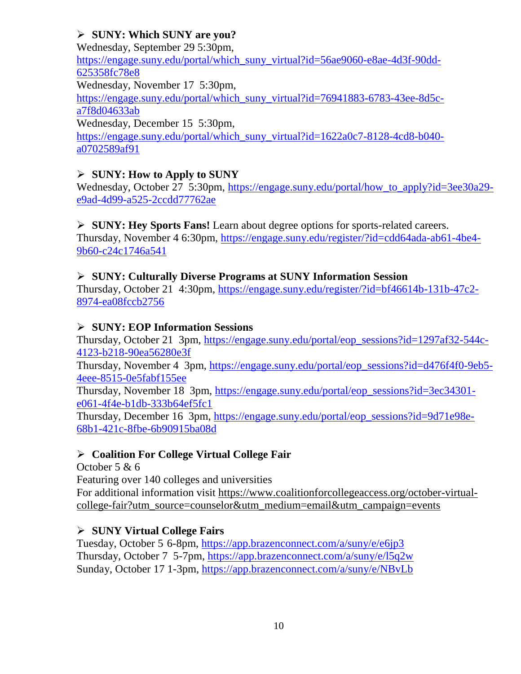### **SUNY: Which SUNY are you?**

Wednesday, September 29 5:30pm,

[https://engage.suny.edu/portal/which\\_suny\\_virtual?id=56ae9060-e8ae-4d3f-90dd-](https://engage.suny.edu/portal/which_suny_virtual?id=56ae9060-e8ae-4d3f-90dd-625358fc78e8)[625358fc78e8](https://engage.suny.edu/portal/which_suny_virtual?id=56ae9060-e8ae-4d3f-90dd-625358fc78e8)

Wednesday, November 17 5:30pm,

[https://engage.suny.edu/portal/which\\_suny\\_virtual?id=76941883-6783-43ee-8d5c](https://engage.suny.edu/portal/which_suny_virtual?id=76941883-6783-43ee-8d5c-a7f8d04633ab)[a7f8d04633ab](https://engage.suny.edu/portal/which_suny_virtual?id=76941883-6783-43ee-8d5c-a7f8d04633ab)

Wednesday, December 15 5:30pm,

[https://engage.suny.edu/portal/which\\_suny\\_virtual?id=1622a0c7-8128-4cd8-b040](https://engage.suny.edu/portal/which_suny_virtual?id=1622a0c7-8128-4cd8-b040-a0702589af91) [a0702589af91](https://engage.suny.edu/portal/which_suny_virtual?id=1622a0c7-8128-4cd8-b040-a0702589af91)

### **SUNY: How to Apply to SUNY**

Wednesday, October 27 5:30pm, [https://engage.suny.edu/portal/how\\_to\\_apply?id=3ee30a29](https://engage.suny.edu/portal/how_to_apply?id=3ee30a29-e9ad-4d99-a525-2ccdd77762ae) [e9ad-4d99-a525-2ccdd77762ae](https://engage.suny.edu/portal/how_to_apply?id=3ee30a29-e9ad-4d99-a525-2ccdd77762ae)

 **SUNY: Hey Sports Fans!** Learn about degree options for sports-related careers. Thursday, November 4 6:30pm, [https://engage.suny.edu/register/?id=cdd64ada-ab61-4be4-](https://engage.suny.edu/register/?id=cdd64ada-ab61-4be4-9b60-c24c1746a541) [9b60-c24c1746a541](https://engage.suny.edu/register/?id=cdd64ada-ab61-4be4-9b60-c24c1746a541)

### **SUNY: Culturally Diverse Programs at SUNY Information Session**

Thursday, October 21 4:30pm, [https://engage.suny.edu/register/?id=bf46614b-131b-47c2-](https://engage.suny.edu/register/?id=bf46614b-131b-47c2-8974-ea08fccb2756) [8974-ea08fccb2756](https://engage.suny.edu/register/?id=bf46614b-131b-47c2-8974-ea08fccb2756)

### **SUNY: EOP Information Sessions**

Thursday, October 21 3pm, [https://engage.suny.edu/portal/eop\\_sessions?id=1297af32-544c-](https://engage.suny.edu/portal/eop_sessions?id=1297af32-544c-4123-b218-90ea56280e3f)[4123-b218-90ea56280e3f](https://engage.suny.edu/portal/eop_sessions?id=1297af32-544c-4123-b218-90ea56280e3f)

Thursday, November 4 3pm, [https://engage.suny.edu/portal/eop\\_sessions?id=d476f4f0-9eb5-](https://engage.suny.edu/portal/eop_sessions?id=d476f4f0-9eb5-4eee-8515-0e5fabf155ee) [4eee-8515-0e5fabf155ee](https://engage.suny.edu/portal/eop_sessions?id=d476f4f0-9eb5-4eee-8515-0e5fabf155ee)

Thursday, November 18 3pm, [https://engage.suny.edu/portal/eop\\_sessions?id=3ec34301](https://engage.suny.edu/portal/eop_sessions?id=3ec34301-e061-4f4e-b1db-333b64ef5fc1) [e061-4f4e-b1db-333b64ef5fc1](https://engage.suny.edu/portal/eop_sessions?id=3ec34301-e061-4f4e-b1db-333b64ef5fc1)

Thursday, December 16 3pm, [https://engage.suny.edu/portal/eop\\_sessions?id=9d71e98e-](https://engage.suny.edu/portal/eop_sessions?id=9d71e98e-68b1-421c-8fbe-6b90915ba08d)[68b1-421c-8fbe-6b90915ba08d](https://engage.suny.edu/portal/eop_sessions?id=9d71e98e-68b1-421c-8fbe-6b90915ba08d)

### **Coalition For College Virtual College Fair**

October 5 & 6

Featuring over 140 colleges and universities

For additional information visit [https://www.coalitionforcollegeaccess.org/october-virtual](https://www.coalitionforcollegeaccess.org/october-virtual-college-fair?utm_source=counselor&utm_medium=email&utm_campaign=events)[college-fair?utm\\_source=counselor&utm\\_medium=email&utm\\_campaign=events](https://www.coalitionforcollegeaccess.org/october-virtual-college-fair?utm_source=counselor&utm_medium=email&utm_campaign=events)

### **SUNY Virtual College Fairs**

Tuesday, October 5 6-8pm,<https://app.brazenconnect.com/a/suny/e/e6jp3> Thursday, October 7 5-7pm,<https://app.brazenconnect.com/a/suny/e/l5q2w> Sunday, October 17 1-3pm,<https://app.brazenconnect.com/a/suny/e/NBvLb>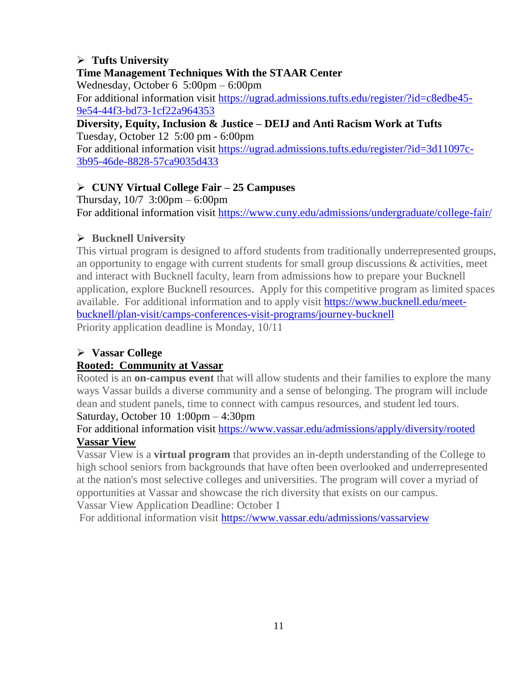### **Tufts University**

### **Time Management Techniques With the STAAR Center**

Wednesday, October 6 5:00pm – 6:00pm

For additional information visit [https://ugrad.admissions.tufts.edu/register/?id=c8edbe45-](https://ugrad.admissions.tufts.edu/register/?id=c8edbe45-9e54-44f3-bd73-1cf22a964353) [9e54-44f3-bd73-1cf22a964353](https://ugrad.admissions.tufts.edu/register/?id=c8edbe45-9e54-44f3-bd73-1cf22a964353)

#### **Diversity, Equity, Inclusion & Justice – DEIJ and Anti Racism Work at Tufts** Tuesday, October 12 5:00 pm - 6:00pm

For additional information visit [https://ugrad.admissions.tufts.edu/register/?id=3d11097c-](https://ugrad.admissions.tufts.edu/register/?id=3d11097c-3b95-46de-8828-57ca9035d433)[3b95-46de-8828-57ca9035d433](https://ugrad.admissions.tufts.edu/register/?id=3d11097c-3b95-46de-8828-57ca9035d433)

### **CUNY Virtual College Fair – 25 Campuses**

Thursday, 10/7 3:00pm – 6:00pm For additional information visit<https://www.cuny.edu/admissions/undergraduate/college-fair/>

### **Bucknell University**

This virtual program is designed to afford students from traditionally underrepresented groups, an opportunity to engage with current students for small group discussions & activities, meet and interact with Bucknell faculty, learn from admissions how to prepare your Bucknell application, explore Bucknell resources. Apply for this competitive program as limited spaces available. For additional information and to apply visit [https://www.bucknell.edu/meet](https://www.bucknell.edu/meet-bucknell/plan-visit/camps-conferences-visit-programs/journey-bucknell)[bucknell/plan-visit/camps-conferences-visit-programs/journey-bucknell](https://www.bucknell.edu/meet-bucknell/plan-visit/camps-conferences-visit-programs/journey-bucknell) Priority application deadline is Monday, 10/11

### **Vassar College**

### **Rooted: Community at Vassar**

Rooted is an **on-campus event** that will allow students and their families to explore the many ways Vassar builds a diverse community and a sense of belonging. The program will include dean and student panels, time to connect with campus resources, and student led tours.

### Saturday, October 10 1:00pm – 4:30pm

For additional information visit<https://www.vassar.edu/admissions/apply/diversity/rooted> **Vassar View**

Vassar View is a **virtual program** that provides an in-depth understanding of the College to high school seniors from backgrounds that have often been overlooked and underrepresented at the nation's most selective colleges and universities. The program will cover a myriad of opportunities at Vassar and showcase the rich diversity that exists on our campus. Vassar View Application Deadline: October 1

For additional information visit<https://www.vassar.edu/admissions/vassarview>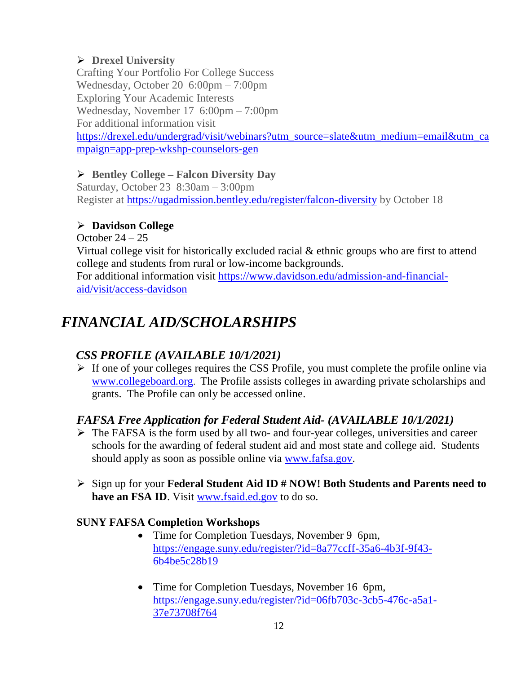### **Drexel University**

Crafting Your Portfolio For College Success Wednesday, October 20 6:00pm – 7:00pm Exploring Your Academic Interests Wednesday, November 17 6:00pm – 7:00pm For additional information visit [https://drexel.edu/undergrad/visit/webinars?utm\\_source=slate&utm\\_medium=email&utm\\_ca](https://drexel.edu/undergrad/visit/webinars?utm_source=slate&utm_medium=email&utm_campaign=app-prep-wkshp-counselors-gen) [mpaign=app-prep-wkshp-counselors-gen](https://drexel.edu/undergrad/visit/webinars?utm_source=slate&utm_medium=email&utm_campaign=app-prep-wkshp-counselors-gen)

### **Bentley College – Falcon Diversity Day**

Saturday, October 23 8:30am – 3:00pm Register at<https://ugadmission.bentley.edu/register/falcon-diversity> by October 18

### **Davidson College**

October  $24 - 25$ 

Virtual college visit for historically excluded racial & ethnic groups who are first to attend college and students from rural or low-income backgrounds.

For additional information visit [https://www.davidson.edu/admission-and-financial](https://www.davidson.edu/admission-and-financial-aid/visit/access-davidson)[aid/visit/access-davidson](https://www.davidson.edu/admission-and-financial-aid/visit/access-davidson)

### *FINANCIAL AID/SCHOLARSHIPS*

### *CSS PROFILE (AVAILABLE 10/1/2021)*

 $\triangleright$  If one of your colleges requires the CSS Profile, you must complete the profile online via [www.collegeboard.org](http://www.collegeboard.org/). The Profile assists colleges in awarding private scholarships and grants. The Profile can only be accessed online.

### *FAFSA Free Application for Federal Student Aid- (AVAILABLE 10/1/2021)*

- $\triangleright$  The FAFSA is the form used by all two- and four-year colleges, universities and career schools for the awarding of [federal student aid](http://studentaid.ed.gov/students/publications/student_guide/2010-2011/english/typesofFSA_grants.htm) and most state and college aid. Students should apply as soon as possible online via [www.fafsa.gov.](http://www.fafsa.gov/)
- Sign up for your **Federal Student Aid ID # NOW! Both Students and Parents need to have an FSA ID**. Visit [www.fsaid.ed.gov](http://www.fsaid.ed.gov/) to do so.

### **SUNY FAFSA Completion Workshops**

- Time for Completion Tuesdays, November 9 6pm, [https://engage.suny.edu/register/?id=8a77ccff-35a6-4b3f-9f43-](https://engage.suny.edu/register/?id=8a77ccff-35a6-4b3f-9f43-6b4be5c28b19) [6b4be5c28b19](https://engage.suny.edu/register/?id=8a77ccff-35a6-4b3f-9f43-6b4be5c28b19)
- Time for Completion Tuesdays, November 16 6pm, [https://engage.suny.edu/register/?id=06fb703c-3cb5-476c-a5a1-](https://engage.suny.edu/register/?id=06fb703c-3cb5-476c-a5a1-37e73708f764) [37e73708f764](https://engage.suny.edu/register/?id=06fb703c-3cb5-476c-a5a1-37e73708f764)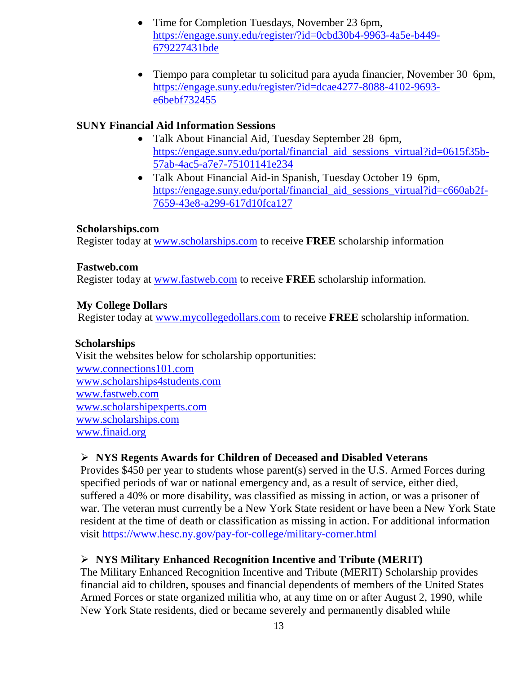- Time for Completion Tuesdays, November 23 6pm, [https://engage.suny.edu/register/?id=0cbd30b4-9963-4a5e-b449-](https://engage.suny.edu/register/?id=0cbd30b4-9963-4a5e-b449-679227431bde) [679227431bde](https://engage.suny.edu/register/?id=0cbd30b4-9963-4a5e-b449-679227431bde)
- Tiempo para completar tu solicitud para ayuda financier, November 30 6pm, [https://engage.suny.edu/register/?id=dcae4277-8088-4102-9693](https://engage.suny.edu/register/?id=dcae4277-8088-4102-9693-e6bebf732455) [e6bebf732455](https://engage.suny.edu/register/?id=dcae4277-8088-4102-9693-e6bebf732455)

### **SUNY Financial Aid Information Sessions**

- Talk About Financial Aid, Tuesday September 28 6pm, https://engage.suny.edu/portal/financial aid sessions virtual?id=0615f35b-[57ab-4ac5-a7e7-75101141e234](https://engage.suny.edu/portal/financial_aid_sessions_virtual?id=0615f35b-57ab-4ac5-a7e7-75101141e234)
- Talk About Financial Aid-in Spanish, Tuesday October 19 6pm, [https://engage.suny.edu/portal/financial\\_aid\\_sessions\\_virtual?id=c660ab2f-](https://engage.suny.edu/portal/financial_aid_sessions_virtual?id=c660ab2f-7659-43e8-a299-617d10fca127)[7659-43e8-a299-617d10fca127](https://engage.suny.edu/portal/financial_aid_sessions_virtual?id=c660ab2f-7659-43e8-a299-617d10fca127)

### **Scholarships.com**

Register today at [www.scholarships.com](http://www.scholarships.com/) to receive **FREE** scholarship information

### **Fastweb.com**

Register today at [www.fastweb.com](http://www.fastweb.com/) to receive **FREE** scholarship information.

### **My College Dollars**

Register today at [www.mycollegedollars.com](http://www.mycollegedollars.com/) to receive **FREE** scholarship information.

### **Scholarships**

 Visit the websites below for scholarship opportunities: [www.connections101.com](http://www.connections101.com/) [www.scholarships4students.com](http://www.scholarships4students.com/) [www.fastweb.com](http://www.fastweb.com/) [www.scholarshipexperts.com](http://www.scholarshipexperts.com/) [www.scholarships.com](http://www.scholarships.com/) [www.finaid.org](http://www.finaid.org/)

### **NYS Regents Awards for Children of Deceased and Disabled Veterans**

Provides \$450 per year to students whose parent(s) served in the U.S. Armed Forces during specified periods of war or national emergency and, as a result of service, either died, suffered a 40% or more disability, was classified as missing in action, or was a prisoner of war. The veteran must currently be a New York State resident or have been a New York State resident at the time of death or classification as missing in action. For additional information visit<https://www.hesc.ny.gov/pay-for-college/military-corner.html>

### **NYS Military Enhanced Recognition Incentive and Tribute (MERIT)**

The Military Enhanced Recognition Incentive and Tribute (MERIT) Scholarship provides financial aid to children, spouses and financial dependents of members of the United States Armed Forces or state organized militia who, at any time on or after August 2, 1990, while New York State residents, died or became severely and permanently disabled while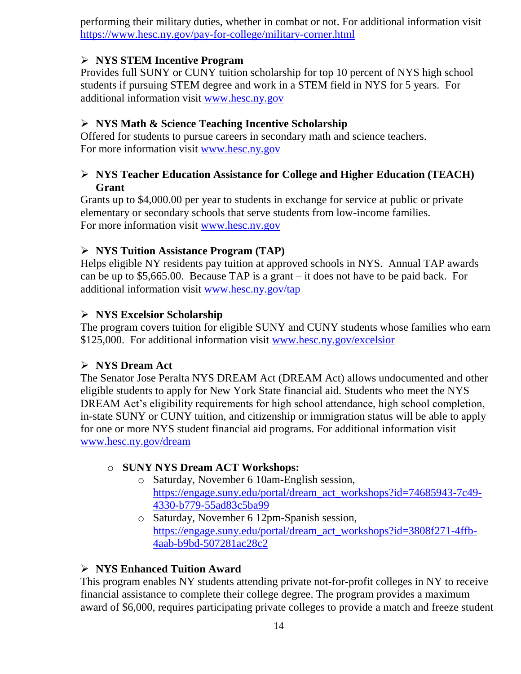performing their military duties, whether in combat or not. For additional information visit <https://www.hesc.ny.gov/pay-for-college/military-corner.html>

### **NYS STEM Incentive Program**

Provides full SUNY or CUNY tuition scholarship for top 10 percent of NYS high school students if pursuing STEM degree and work in a STEM field in NYS for 5 years. For additional information visit [www.hesc.ny.gov](http://www.hesc.ny.gov/)

### **NYS Math & Science Teaching Incentive Scholarship**

Offered for students to pursue careers in secondary math and science teachers. For more information visit [www.hesc.ny.gov](http://www.hesc.ny.gov/)

### **NYS Teacher Education Assistance for College and Higher Education (TEACH) Grant**

Grants up to \$4,000.00 per year to students in exchange for service at public or private elementary or secondary schools that serve students from low-income families. For more information visit [www.hesc.ny.gov](http://www.hesc.ny.gov/) 

### **NYS Tuition Assistance Program (TAP)**

Helps eligible NY residents pay tuition at approved schools in NYS. Annual TAP awards can be up to \$5,665.00. Because TAP is a grant – it does not have to be paid back. For additional information visit [www.hesc.ny.gov/tap](http://www.hesc.ny.gov/tap)

### **NYS Excelsior Scholarship**

The program covers tuition for eligible SUNY and CUNY students whose families who earn \$125,000. For additional information visit [www.hesc.ny.gov/](http://www.hesc.ny.gov/)excelsior

### **NYS Dream Act**

The Senator Jose Peralta NYS DREAM Act (DREAM Act) allows undocumented and other eligible students to apply for New York State financial aid. Students who meet the NYS DREAM Act's eligibility requirements for high school attendance, high school completion, in-state SUNY or CUNY tuition, and citizenship or immigration status will be able to apply for one or more NYS student financial aid programs. For additional information visit [www.hesc.ny.gov/dream](http://www.hesc.ny.gov/dream)

### o **SUNY NYS Dream ACT Workshops:**

- o Saturday, November 6 10am-English session, [https://engage.suny.edu/portal/dream\\_act\\_workshops?id=74685943-7c49-](https://engage.suny.edu/portal/dream_act_workshops?id=74685943-7c49-4330-b779-55ad83c5ba99) [4330-b779-55ad83c5ba99](https://engage.suny.edu/portal/dream_act_workshops?id=74685943-7c49-4330-b779-55ad83c5ba99)
- o Saturday, November 6 12pm-Spanish session, [https://engage.suny.edu/portal/dream\\_act\\_workshops?id=3808f271-4ffb-](https://engage.suny.edu/portal/dream_act_workshops?id=3808f271-4ffb-4aab-b9bd-507281ac28c2)[4aab-b9bd-507281ac28c2](https://engage.suny.edu/portal/dream_act_workshops?id=3808f271-4ffb-4aab-b9bd-507281ac28c2)

### **NYS Enhanced Tuition Award**

This program enables NY students attending private not-for-profit colleges in NY to receive financial assistance to complete their college degree. The program provides a maximum award of \$6,000, requires participating private colleges to provide a match and freeze student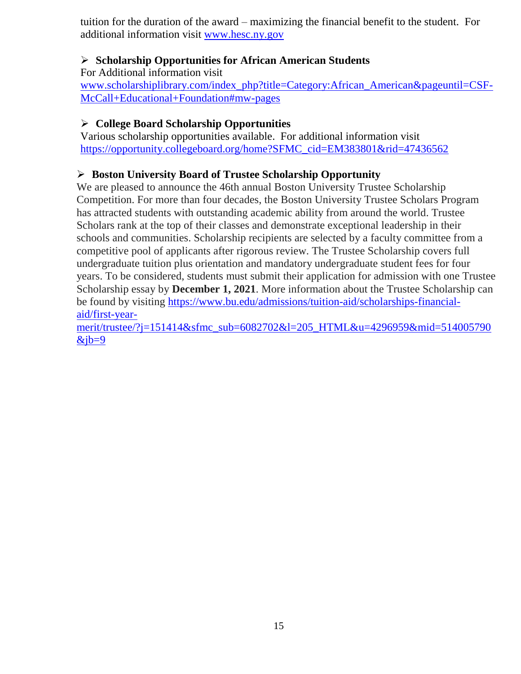tuition for the duration of the award – maximizing the financial benefit to the student. For additional information visit [www.hesc.ny.gov](http://www.hesc.ny.gov/)

### **Scholarship Opportunities for African American Students**

For Additional information visit

[www.scholarshiplibrary.com/index\\_php?title=Category:African\\_American&pageuntil=CSF-](http://www.scholarshiplibrary.com/index_php?title=Category:African_American&pageuntil=CSF-McCall+Educational+Foundation#mw-pages)[McCall+Educational+Foundation#mw-pages](http://www.scholarshiplibrary.com/index_php?title=Category:African_American&pageuntil=CSF-McCall+Educational+Foundation#mw-pages)

### **College Board Scholarship Opportunities**

Various scholarship opportunities available. For additional information visit [https://opportunity.collegeboard.org/home?SFMC\\_cid=EM383801&rid=47436562](https://opportunity.collegeboard.org/home?SFMC_cid=EM383801&rid=47436562)

### **Boston University Board of Trustee Scholarship Opportunity**

We are pleased to announce the 46th annual Boston University Trustee Scholarship Competition. For more than four decades, the Boston University Trustee Scholars Program has attracted students with outstanding academic ability from around the world. Trustee Scholars rank at the top of their classes and demonstrate exceptional leadership in their schools and communities. Scholarship recipients are selected by a faculty committee from a competitive pool of applicants after rigorous review. The Trustee Scholarship covers full undergraduate tuition plus orientation and mandatory undergraduate student fees for four years. To be considered, students must submit their application for admission with one Trustee Scholarship essay by **December 1, 2021**. More information about the Trustee Scholarship can be found by visiting [https://www.bu.edu/admissions/tuition-aid/scholarships-financial](https://www.bu.edu/admissions/tuition-aid/scholarships-financial-aid/first-year-merit/trustee/?j=151414&sfmc_sub=6082702&l=205_HTML&u=4296959&mid=514005790&jb=9)[aid/first-year-](https://www.bu.edu/admissions/tuition-aid/scholarships-financial-aid/first-year-merit/trustee/?j=151414&sfmc_sub=6082702&l=205_HTML&u=4296959&mid=514005790&jb=9)

[merit/trustee/?j=151414&sfmc\\_sub=6082702&l=205\\_HTML&u=4296959&mid=514005790](https://www.bu.edu/admissions/tuition-aid/scholarships-financial-aid/first-year-merit/trustee/?j=151414&sfmc_sub=6082702&l=205_HTML&u=4296959&mid=514005790&jb=9)  $&ib=9$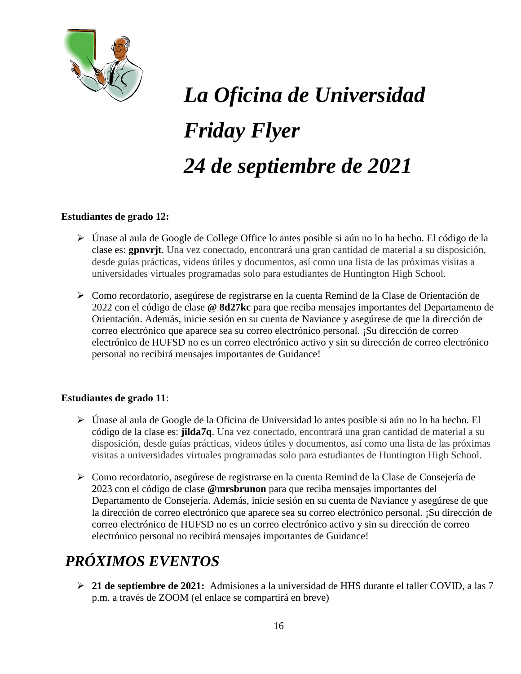

# *La Oficina de Universidad Friday Flyer 24 de septiembre de 2021*

### **Estudiantes de grado 12:**

- Únase al aula de Google de College Office lo antes posible si aún no lo ha hecho. El código de la clase es: **gpnvrjt**. Una vez conectado, encontrará una gran cantidad de material a su disposición, desde guías prácticas, videos útiles y documentos, así como una lista de las próximas visitas a universidades virtuales programadas solo para estudiantes de Huntington High School.
- Como recordatorio, asegúrese de registrarse en la cuenta Remind de la Clase de Orientación de 2022 con el código de clase **@ 8d27kc** para que reciba mensajes importantes del Departamento de Orientación. Además, inicie sesión en su cuenta de Naviance y asegúrese de que la dirección de correo electrónico que aparece sea su correo electrónico personal. ¡Su dirección de correo electrónico de HUFSD no es un correo electrónico activo y sin su dirección de correo electrónico personal no recibirá mensajes importantes de Guidance!

#### **Estudiantes de grado 11**:

- Únase al aula de Google de la Oficina de Universidad lo antes posible si aún no lo ha hecho. El código de la clase es: **jilda7q**. Una vez conectado, encontrará una gran cantidad de material a su disposición, desde guías prácticas, videos útiles y documentos, así como una lista de las próximas visitas a universidades virtuales programadas solo para estudiantes de Huntington High School.
- Como recordatorio, asegúrese de registrarse en la cuenta Remind de la Clase de Consejería de 2023 con el código de clase **@mrsbrunon** para que reciba mensajes importantes del Departamento de Consejería. Además, inicie sesión en su cuenta de Naviance y asegúrese de que la dirección de correo electrónico que aparece sea su correo electrónico personal. ¡Su dirección de correo electrónico de HUFSD no es un correo electrónico activo y sin su dirección de correo electrónico personal no recibirá mensajes importantes de Guidance!

# *PRÓXIMOS EVENTOS*

 **21 de septiembre de 2021:** Admisiones a la universidad de HHS durante el taller COVID, a las 7 p.m. a través de ZOOM (el enlace se compartirá en breve)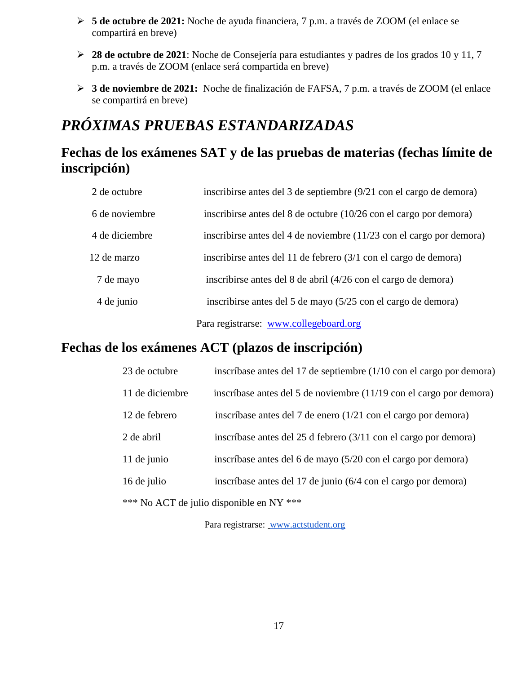- **5 de octubre de 2021:** Noche de ayuda financiera, 7 p.m. a través de ZOOM (el enlace se compartirá en breve)
- **28 de octubre de 2021**: Noche de Consejería para estudiantes y padres de los grados 10 y 11, 7 p.m. a través de ZOOM (enlace será compartida en breve)
- **3 de noviembre de 2021:** Noche de finalización de FAFSA, 7 p.m. a través de ZOOM (el enlace se compartirá en breve)

# *PRÓXIMAS PRUEBAS ESTANDARIZADAS*

### **Fechas de los exámenes SAT y de las pruebas de materias (fechas límite de inscripción)**

| 2 de octubre   | inscribirse antes del 3 de septiembre (9/21 con el cargo de demora)  |
|----------------|----------------------------------------------------------------------|
| 6 de noviembre | inscribirse antes del 8 de octubre (10/26 con el cargo por demora)   |
| 4 de diciembre | inscribirse antes del 4 de noviembre (11/23 con el cargo por demora) |
| 12 de marzo    | inscribirse antes del 11 de febrero (3/1 con el cargo de demora)     |
| 7 de mayo      | inscribirse antes del 8 de abril (4/26 con el cargo de demora)       |
| 4 de junio     | inscribirse antes del 5 de mayo (5/25 con el cargo de demora)        |
|                | Para registrarse: www.collegeboard.org                               |

### **Fechas de los exámenes ACT (plazos de inscripción)**

| 23 de octubre   | inscríbase antes del 17 de septiembre (1/10 con el cargo por demora)     |
|-----------------|--------------------------------------------------------------------------|
| 11 de diciembre | inscríbase antes del 5 de noviembre (11/19 con el cargo por demora)      |
| 12 de febrero   | inscríbase antes del 7 de enero $(1/21 \text{ con el cargo por demora})$ |
| 2 de abril      | inscríbase antes del 25 d febrero (3/11 con el cargo por demora)         |
| 11 de junio     | inscríbase antes del 6 de mayo (5/20 con el cargo por demora)            |
| 16 de julio     | inscríbase antes del 17 de junio (6/4 con el cargo por demora)           |
|                 | *** No ACT de julio disponible en NY ***                                 |

Para registrarse: [www.actstudent.org](http://www.actstudent.org/)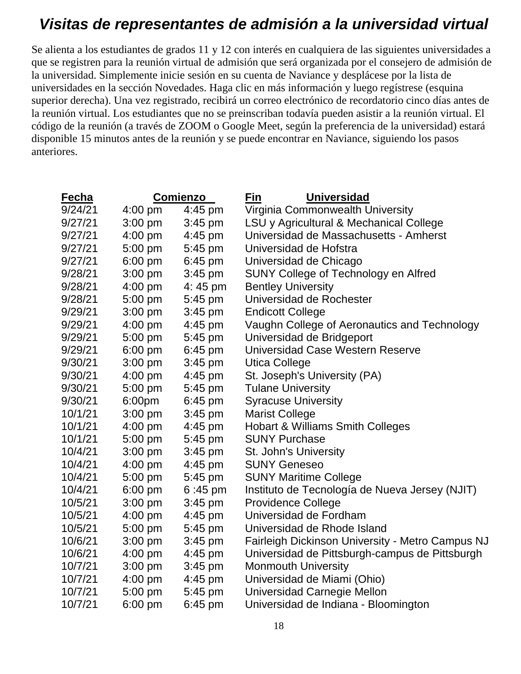# *Visitas de representantes de admisión a la universidad virtual*

Se alienta a los estudiantes de grados 11 y 12 con interés en cualquiera de las siguientes universidades a que se registren para la reunión virtual de admisión que será organizada por el consejero de admisión de la universidad. Simplemente inicie sesión en su cuenta de Naviance y desplácese por la lista de universidades en la sección Novedades. Haga clic en más información y luego regístrese (esquina superior derecha). Una vez registrado, recibirá un correo electrónico de recordatorio cinco días antes de la reunión virtual. Los estudiantes que no se preinscriban todavía pueden asistir a la reunión virtual. El código de la reunión (a través de ZOOM o Google Meet, según la preferencia de la universidad) estará disponible 15 minutos antes de la reunión y se puede encontrar en Naviance, siguiendo los pasos anteriores.

| Fecha   |           | <b>Comienzo</b>   | <b>Universidad</b><br>Fin                        |
|---------|-----------|-------------------|--------------------------------------------------|
| 9/24/21 | $4:00$ pm | 4:45 pm           | Virginia Commonwealth University                 |
| 9/27/21 | $3:00$ pm | $3:45$ pm         | LSU y Agricultural & Mechanical College          |
| 9/27/21 | $4:00$ pm | $4:45$ pm         | Universidad de Massachusetts - Amherst           |
| 9/27/21 | 5:00 pm   | 5:45 pm           | Universidad de Hofstra                           |
| 9/27/21 | $6:00$ pm | $6:45$ pm         | Universidad de Chicago                           |
| 9/28/21 | $3:00$ pm | 3:45 pm           | SUNY College of Technology en Alfred             |
| 9/28/21 | $4:00$ pm | 4:45 pm           | <b>Bentley University</b>                        |
| 9/28/21 | 5:00 pm   | 5:45 pm           | Universidad de Rochester                         |
| 9/29/21 | $3:00$ pm | $3:45$ pm         | <b>Endicott College</b>                          |
| 9/29/21 | $4:00$ pm | 4:45 pm           | Vaughn College of Aeronautics and Technology     |
| 9/29/21 | 5:00 pm   | 5:45 pm           | Universidad de Bridgeport                        |
| 9/29/21 | 6:00 pm   | 6:45 pm           | Universidad Case Western Reserve                 |
| 9/30/21 | $3:00$ pm | $3:45$ pm         | <b>Utica College</b>                             |
| 9/30/21 | 4:00 pm   | 4:45 pm           | St. Joseph's University (PA)                     |
| 9/30/21 | 5:00 pm   | 5:45 pm           | <b>Tulane University</b>                         |
| 9/30/21 | 6:00pm    | $6:45$ pm         | <b>Syracuse University</b>                       |
| 10/1/21 | $3:00$ pm | $3:45$ pm         | <b>Marist College</b>                            |
| 10/1/21 | 4:00 pm   | 4:45 pm           | <b>Hobart &amp; Williams Smith Colleges</b>      |
| 10/1/21 | 5:00 pm   | 5:45 pm           | <b>SUNY Purchase</b>                             |
| 10/4/21 | $3:00$ pm | $3:45$ pm         | St. John's University                            |
| 10/4/21 | $4:00$ pm | $4:45$ pm         | <b>SUNY Geneseo</b>                              |
| 10/4/21 | 5:00 pm   | 5:45 pm           | <b>SUNY Maritime College</b>                     |
| 10/4/21 | $6:00$ pm | $6:45 \text{ pm}$ | Instituto de Tecnología de Nueva Jersey (NJIT)   |
| 10/5/21 | $3:00$ pm | $3:45$ pm         | <b>Providence College</b>                        |
| 10/5/21 | $4:00$ pm | $4:45$ pm         | Universidad de Fordham                           |
| 10/5/21 | 5:00 pm   | 5:45 pm           | Universidad de Rhode Island                      |
| 10/6/21 | $3:00$ pm | $3:45$ pm         | Fairleigh Dickinson University - Metro Campus NJ |
| 10/6/21 | 4:00 pm   | 4:45 pm           | Universidad de Pittsburgh-campus de Pittsburgh   |
| 10/7/21 | $3:00$ pm | $3:45$ pm         | <b>Monmouth University</b>                       |
| 10/7/21 | 4:00 pm   | 4:45 pm           | Universidad de Miami (Ohio)                      |
| 10/7/21 | 5:00 pm   | 5:45 pm           | Universidad Carnegie Mellon                      |
| 10/7/21 | $6:00$ pm | 6:45 pm           | Universidad de Indiana - Bloomington             |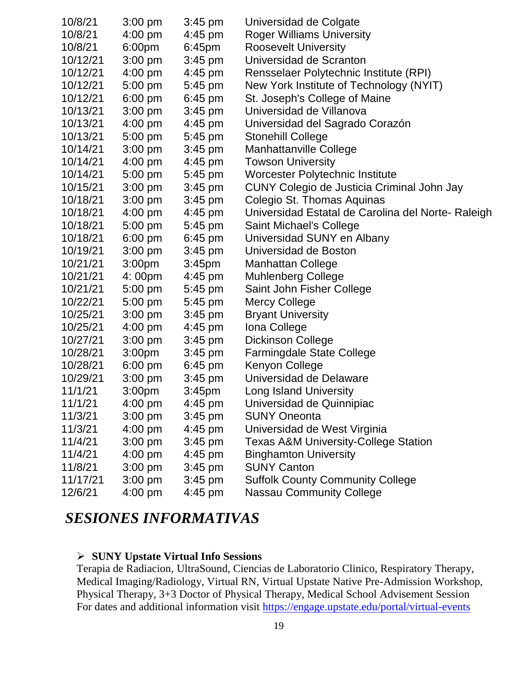| 10/8/21  | $3:00 \text{ pm}$  | $3:45$ pm          | Universidad de Colgate                             |
|----------|--------------------|--------------------|----------------------------------------------------|
| 10/8/21  | $4:00$ pm          | $4:45$ pm          | <b>Roger Williams University</b>                   |
| 10/8/21  | 6:00 <sub>pm</sub> | 6:45 <sub>pm</sub> | <b>Roosevelt University</b>                        |
| 10/12/21 | $3:00$ pm          | $3:45$ pm          | Universidad de Scranton                            |
| 10/12/21 | 4:00 pm            | $4:45$ pm          | Rensselaer Polytechnic Institute (RPI)             |
| 10/12/21 | 5:00 pm            | 5:45 pm            | New York Institute of Technology (NYIT)            |
| 10/12/21 | $6:00$ pm          | 6:45 pm            | St. Joseph's College of Maine                      |
| 10/13/21 | $3:00$ pm          | $3:45$ pm          | Universidad de Villanova                           |
| 10/13/21 | $4:00$ pm          | $4:45$ pm          | Universidad del Sagrado Corazón                    |
| 10/13/21 | $5:00$ pm          | 5:45 pm            | <b>Stonehill College</b>                           |
| 10/14/21 | $3:00$ pm          | $3:45$ pm          | <b>Manhattanville College</b>                      |
| 10/14/21 | $4:00$ pm          | $4:45$ pm          | <b>Towson University</b>                           |
| 10/14/21 | $5:00$ pm          | 5:45 pm            | Worcester Polytechnic Institute                    |
| 10/15/21 | 3:00 pm            | $3:45$ pm          | CUNY Colegio de Justicia Criminal John Jay         |
| 10/18/21 | $3:00$ pm          | $3:45$ pm          | Colegio St. Thomas Aquinas                         |
| 10/18/21 | $4:00$ pm          | $4:45$ pm          | Universidad Estatal de Carolina del Norte- Raleigh |
| 10/18/21 | $5:00$ pm          | 5:45 pm            | <b>Saint Michael's College</b>                     |
| 10/18/21 | $6:00$ pm          | $6:45$ pm          | Universidad SUNY en Albany                         |
| 10/19/21 | $3:00$ pm          | $3:45$ pm          | Universidad de Boston                              |
| 10/21/21 | 3:00 <sub>pm</sub> | 3:45 <sub>pm</sub> | <b>Manhattan College</b>                           |
| 10/21/21 | 4:00pm             | $4:45$ pm          | <b>Muhlenberg College</b>                          |
| 10/21/21 | 5:00 pm            | 5:45 pm            | Saint John Fisher College                          |
| 10/22/21 | $5:00$ pm          | 5:45 pm            | <b>Mercy College</b>                               |
| 10/25/21 | $3:00$ pm          | $3:45$ pm          | <b>Bryant University</b>                           |
| 10/25/21 | $4:00 \text{ pm}$  | $4:45 \text{ pm}$  | Iona College                                       |
| 10/27/21 | $3:00$ pm          | $3:45$ pm          | <b>Dickinson College</b>                           |
| 10/28/21 | 3:00 <sub>pm</sub> | $3:45$ pm          | <b>Farmingdale State College</b>                   |
| 10/28/21 | $6:00$ pm          | $6:45$ pm          | Kenyon College                                     |
| 10/29/21 | $3:00$ pm          | $3:45$ pm          | Universidad de Delaware                            |
| 11/1/21  | 3:00pm             | 3:45pm             | <b>Long Island University</b>                      |
| 11/1/21  | $4:00$ pm          | $4:45$ pm          | Universidad de Quinnipiac                          |
| 11/3/21  | $3:00$ pm          | $3:45$ pm          | <b>SUNY Oneonta</b>                                |
| 11/3/21  | $4:00$ pm          | $4:45$ pm          | Universidad de West Virginia                       |
| 11/4/21  | $3:00$ pm          | $3:45$ pm          | <b>Texas A&amp;M University-College Station</b>    |
| 11/4/21  | $4:00$ pm          | $4:45$ pm          | <b>Binghamton University</b>                       |
| 11/8/21  | $3:00$ pm          | $3:45$ pm          | <b>SUNY Canton</b>                                 |
| 11/17/21 | $3:00$ pm          | $3:45$ pm          | <b>Suffolk County Community College</b>            |
| 12/6/21  | 4:00 pm            | 4:45 pm            | <b>Nassau Community College</b>                    |

### *SESIONES INFORMATIVAS*

### **SUNY Upstate Virtual Info Sessions**

Terapia de Radiacion, UltraSound, Ciencias de Laboratorio Clinico, Respiratory Therapy, Medical Imaging/Radiology, Virtual RN, Virtual Upstate Native Pre-Admission Workshop, Physical Therapy, 3+3 Doctor of Physical Therapy, Medical School Advisement Session For dates and additional information visit<https://engage.upstate.edu/portal/virtual-events>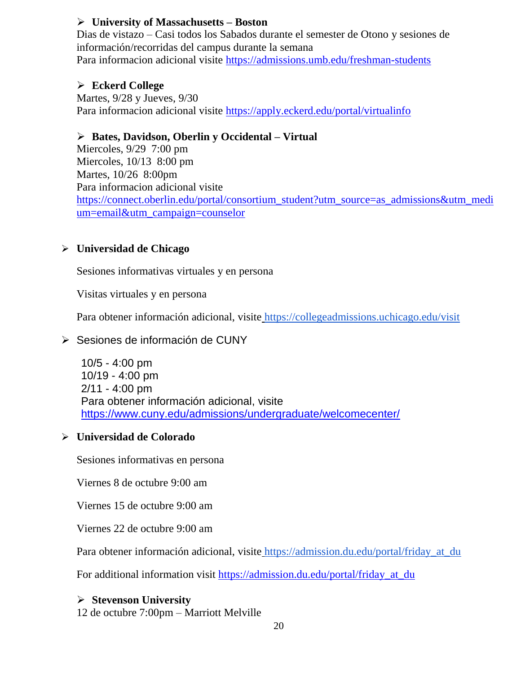### **University of Massachusetts – Boston**

Dias de vistazo – Casi todos los Sabados durante el semester de Otono y sesiones de información/recorridas del campus durante la semana Para informacion adicional visite<https://admissions.umb.edu/freshman-students>

### **Eckerd College**

Martes, 9/28 y Jueves, 9/30 Para informacion adicional visite<https://apply.eckerd.edu/portal/virtualinfo>

### **Bates, Davidson, Oberlin y Occidental – Virtual**

Miercoles, 9/29 7:00 pm Miercoles, 10/13 8:00 pm Martes, 10/26 8:00pm Para informacion adicional visite [https://connect.oberlin.edu/portal/consortium\\_student?utm\\_source=as\\_admissions&utm\\_medi](https://connect.oberlin.edu/portal/consortium_student?utm_source=as_admissions&utm_medium=email&utm_campaign=counselor) [um=email&utm\\_campaign=counselor](https://connect.oberlin.edu/portal/consortium_student?utm_source=as_admissions&utm_medium=email&utm_campaign=counselor)

### **Universidad de Chicago**

Sesiones informativas virtuales y en persona

Visitas virtuales y en persona

Para obtener información adicional, visite <https://collegeadmissions.uchicago.edu/visit>

### $\triangleright$  Sesiones de información de CUNY

10/5 - 4:00 pm 10/19 - 4:00 pm 2/11 - 4:00 pm Para obtener información adicional, visit[e](https://www.cuny.edu/admissions/undergraduate/welcomecenter/) <https://www.cuny.edu/admissions/undergraduate/welcomecenter/>

### **Universidad de Colorado**

Sesiones informativas en persona

Viernes 8 de octubre 9:00 am

Viernes 15 de octubre 9:00 am

Viernes 22 de octubre 9:00 am

Para obtener información adicional, visite [https://admission.du.edu/portal/friday\\_at\\_du](https://admission.du.edu/portal/friday_at_du)

For additional information visit [https://admission.du.edu/portal/friday\\_at\\_du](https://admission.du.edu/portal/friday_at_du)

### **Stevenson University**

12 de octubre 7:00pm – Marriott Melville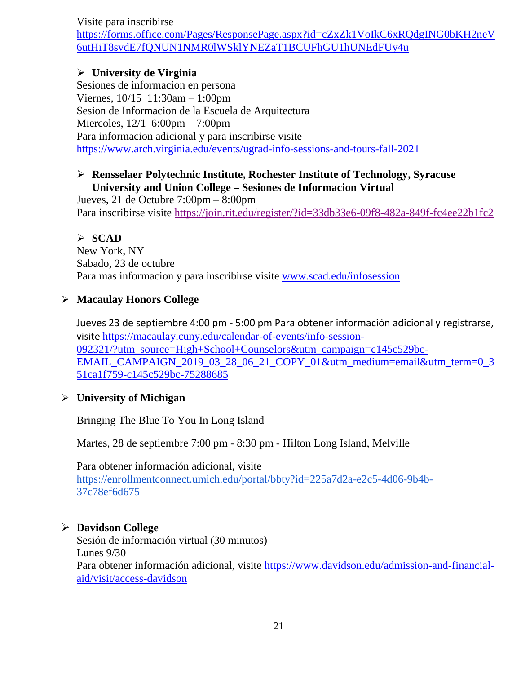Visite para inscribirse

[https://forms.office.com/Pages/ResponsePage.aspx?id=cZxZk1VoIkC6xRQdgING0bKH2neV](https://forms.office.com/Pages/ResponsePage.aspx?id=cZxZk1VoIkC6xRQdgING0bKH2neV6utHiT8svdE7fQNUN1NMR0lWSklYNEZaT1BCUFhGU1hUNEdFUy4u) [6utHiT8svdE7fQNUN1NMR0lWSklYNEZaT1BCUFhGU1hUNEdFUy4u](https://forms.office.com/Pages/ResponsePage.aspx?id=cZxZk1VoIkC6xRQdgING0bKH2neV6utHiT8svdE7fQNUN1NMR0lWSklYNEZaT1BCUFhGU1hUNEdFUy4u)

### **University de Virginia**

Sesiones de informacion en persona Viernes, 10/15 11:30am – 1:00pm Sesion de Informacion de la Escuela de Arquitectura Miercoles, 12/1 6:00pm – 7:00pm Para informacion adicional y para inscribirse visite <https://www.arch.virginia.edu/events/ugrad-info-sessions-and-tours-fall-2021>

### **Rensselaer Polytechnic Institute, Rochester Institute of Technology, Syracuse University and Union College – Sesiones de Informacion Virtual**

Jueves, 21 de Octubre 7:00pm – 8:00pm Para inscribirse visite<https://join.rit.edu/register/?id=33db33e6-09f8-482a-849f-fc4ee22b1fc2>

### **SCAD**

New York, NY Sabado, 23 de octubre Para mas informacion y para inscribirse visite [www.scad.edu/infosession](http://www.scad.edu/infosession)

### **Macaulay Honors College**

Jueves 23 de septiembre 4:00 pm - 5:00 pm Para obtener información adicional y registrarse, visite [https://macaulay.cuny.edu/calendar-of-events/info-session-](https://macaulay.cuny.edu/calendar-of-events/info-session-092321/?utm_source=High+School+Counselors&utm_campaign=c145c529bc-EMAIL_CAMPAIGN_2019_03_28_06_21_COPY_01&utm_medium=email&utm_term=0_351ca1f759-c145c529bc-75288685)[092321/?utm\\_source=High+School+Counselors&utm\\_campaign=c145c529bc-](https://macaulay.cuny.edu/calendar-of-events/info-session-092321/?utm_source=High+School+Counselors&utm_campaign=c145c529bc-EMAIL_CAMPAIGN_2019_03_28_06_21_COPY_01&utm_medium=email&utm_term=0_351ca1f759-c145c529bc-75288685)[EMAIL\\_CAMPAIGN\\_2019\\_03\\_28\\_06\\_21\\_COPY\\_01&utm\\_medium=email&utm\\_term=0\\_3](https://macaulay.cuny.edu/calendar-of-events/info-session-092321/?utm_source=High+School+Counselors&utm_campaign=c145c529bc-EMAIL_CAMPAIGN_2019_03_28_06_21_COPY_01&utm_medium=email&utm_term=0_351ca1f759-c145c529bc-75288685) [51ca1f759-c145c529bc-75288685](https://macaulay.cuny.edu/calendar-of-events/info-session-092321/?utm_source=High+School+Counselors&utm_campaign=c145c529bc-EMAIL_CAMPAIGN_2019_03_28_06_21_COPY_01&utm_medium=email&utm_term=0_351ca1f759-c145c529bc-75288685)

### **University of Michigan**

Bringing The Blue To You In Long Island

Martes, 28 de septiembre 7:00 pm - 8:30 pm - Hilton Long Island, Melville

Para obtener información adicional, visit[e](https://enrollmentconnect.umich.edu/portal/bbty?id=225a7d2a-e2c5-4d06-9b4b-37c78ef6d675) [https://enrollmentconnect.umich.edu/portal/bbty?id=225a7d2a-e2c5-4d06-9b4b-](https://enrollmentconnect.umich.edu/portal/bbty?id=225a7d2a-e2c5-4d06-9b4b-37c78ef6d675)[37c78ef6d675](https://enrollmentconnect.umich.edu/portal/bbty?id=225a7d2a-e2c5-4d06-9b4b-37c78ef6d675)

### **Davidson College**

Sesión de información virtual (30 minutos) Lunes 9/30 Para obtener información adicional, visite [https://www.davidson.edu/admission-and-financial](https://www.davidson.edu/admission-and-financial-aid/visit/access-davidson)[aid/visit/access-davidson](https://www.davidson.edu/admission-and-financial-aid/visit/access-davidson)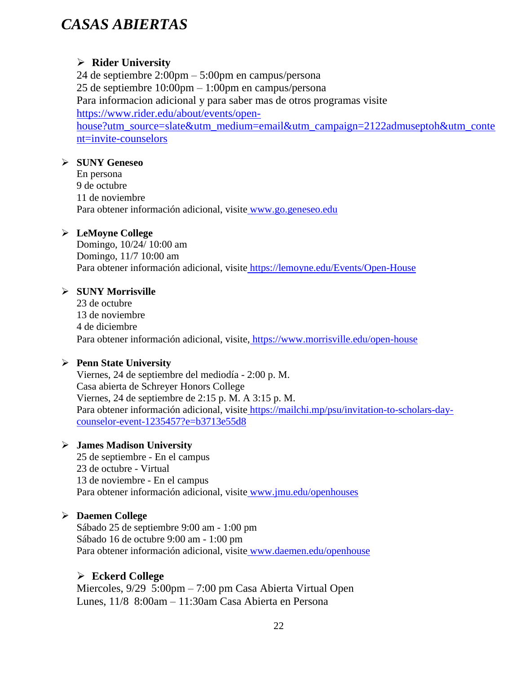### *CASAS ABIERTAS*

### **Rider University**

24 de septiembre 2:00pm – 5:00pm en campus/persona 25 de septiembre 10:00pm – 1:00pm en campus/persona Para informacion adicional y para saber mas de otros programas visite [https://www.rider.edu/about/events/open](https://www.rider.edu/about/events/open-house?utm_source=slate&utm_medium=email&utm_campaign=2122admuseptoh&utm_content=invite-counselors)[house?utm\\_source=slate&utm\\_medium=email&utm\\_campaign=2122admuseptoh&utm\\_conte](https://www.rider.edu/about/events/open-house?utm_source=slate&utm_medium=email&utm_campaign=2122admuseptoh&utm_content=invite-counselors) [nt=invite-counselors](https://www.rider.edu/about/events/open-house?utm_source=slate&utm_medium=email&utm_campaign=2122admuseptoh&utm_content=invite-counselors)

### **SUNY Geneseo**

En persona 9 de octubre 11 de noviembre Para obtener información adicional, visite [www.go.geneseo.edu](http://www.go.geneseo.edu/)

### **LeMoyne College**

Domingo, 10/24/ 10:00 am Domingo, 11/7 10:00 am Para obtener información adicional, visite <https://lemoyne.edu/Events/Open-House>

### **SUNY Morrisville**

23 de octubre 13 de noviembre 4 de diciembre Para obtener información adicional, visite, <https://www.morrisville.edu/open-house>

### **Penn State University**

Viernes, 24 de septiembre del mediodía - 2:00 p. M. Casa abierta de Schreyer Honors College Viernes, 24 de septiembre de 2:15 p. M. A 3:15 p. M. Para obtener información adicional, visite [https://mailchi.mp/psu/invitation-to-scholars-day](https://mailchi.mp/psu/invitation-to-scholars-day-counselor-event-1235457?e=b3713e55d8)[counselor-event-1235457?e=b3713e55d8](https://mailchi.mp/psu/invitation-to-scholars-day-counselor-event-1235457?e=b3713e55d8)

#### **James Madison University**

25 de septiembre - En el campus 23 de octubre - Virtual 13 de noviembre - En el campus Para obtener información adicional, visite [www.jmu.edu/openhouses](http://www.jmu.edu/openhouses)

### **Daemen College**

Sábado 25 de septiembre 9:00 am - 1:00 pm Sábado 16 de octubre 9:00 am - 1:00 pm Para obtener información adicional, visite [www.daemen.edu/openhouse](http://www.daemen.edu/openhouse)

### **Eckerd College**

Miercoles, 9/29 5:00pm – 7:00 pm Casa Abierta Virtual Open Lunes, 11/8 8:00am – 11:30am Casa Abierta en Persona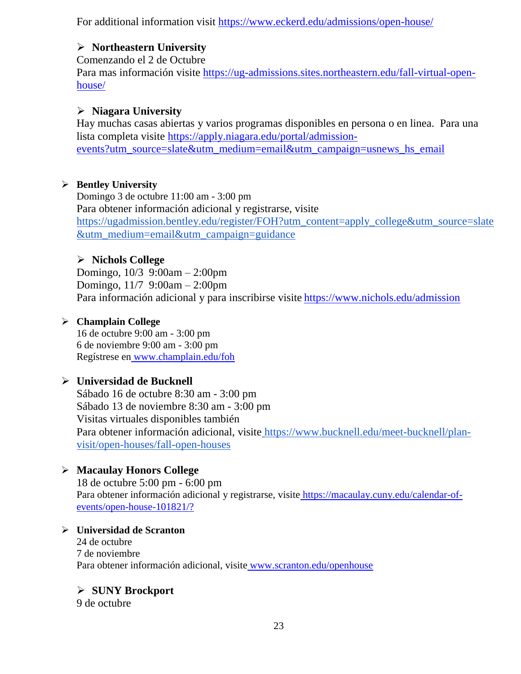For additional information visit<https://www.eckerd.edu/admissions/open-house/>

### **Northeastern University**

Comenzando el 2 de Octubre Para mas información visite [https://ug-admissions.sites.northeastern.edu/fall-virtual-open](https://ug-admissions.sites.northeastern.edu/fall-virtual-open-house/)[house/](https://ug-admissions.sites.northeastern.edu/fall-virtual-open-house/)

### **Niagara University**

Hay muchas casas abiertas y varios programas disponibles en persona o en linea. Para una lista completa visite [https://apply.niagara.edu/portal/admission](https://apply.niagara.edu/portal/admission-events?utm_source=slate&utm_medium=email&utm_campaign=usnews_hs_email)[events?utm\\_source=slate&utm\\_medium=email&utm\\_campaign=usnews\\_hs\\_email](https://apply.niagara.edu/portal/admission-events?utm_source=slate&utm_medium=email&utm_campaign=usnews_hs_email)

### **Bentley University**

Domingo 3 de octubre 11:00 am - 3:00 pm Para obtener información adicional y registrarse, visit[e](https://ugadmission.bentley.edu/register/FOH?utm_content=apply_college&utm_source=slate&utm_medium=email&utm_campaign=guidance) [https://ugadmission.bentley.edu/register/FOH?utm\\_content=apply\\_college&utm\\_source=slate](https://ugadmission.bentley.edu/register/FOH?utm_content=apply_college&utm_source=slate&utm_medium=email&utm_campaign=guidance) [&utm\\_medium=email&utm\\_campaign=guidance](https://ugadmission.bentley.edu/register/FOH?utm_content=apply_college&utm_source=slate&utm_medium=email&utm_campaign=guidance)

### **Nichols College**

Domingo, 10/3 9:00am – 2:00pm Domingo, 11/7 9:00am – 2:00pm Para información adicional y para inscribirse visite <https://www.nichols.edu/admission>

### **Champlain College**

16 de octubre 9:00 am - 3:00 pm 6 de noviembre 9:00 am - 3:00 pm Regístrese en [www.champlain.edu/foh](http://www.champlain.edu/foh)

### **Universidad de Bucknell**

Sábado 16 de octubre 8:30 am - 3:00 pm Sábado 13 de noviembre 8:30 am - 3:00 pm Visitas virtuales disponibles también Para obtener información adicional, visite [https://www.bucknell.edu/meet-bucknell/plan](https://www.bucknell.edu/meet-bucknell/plan-visit/open-houses/fall-open-houses)[visit/open-houses/fall-open-houses](https://www.bucknell.edu/meet-bucknell/plan-visit/open-houses/fall-open-houses)

### **Macaulay Honors College**

18 de octubre 5:00 pm - 6:00 pm Para obtener información adicional y registrarse, visite [https://macaulay.cuny.edu/calendar-of](https://macaulay.cuny.edu/calendar-of-events/open-house-101821/?)[events/open-house-101821/?](https://macaulay.cuny.edu/calendar-of-events/open-house-101821/?)

### **Universidad de Scranton**

24 de octubre 7 de noviembre Para obtener información adicional, visite [www.scranton.edu/openhouse](http://www.scranton.edu/openhouse)

### **SUNY Brockport**

9 de octubre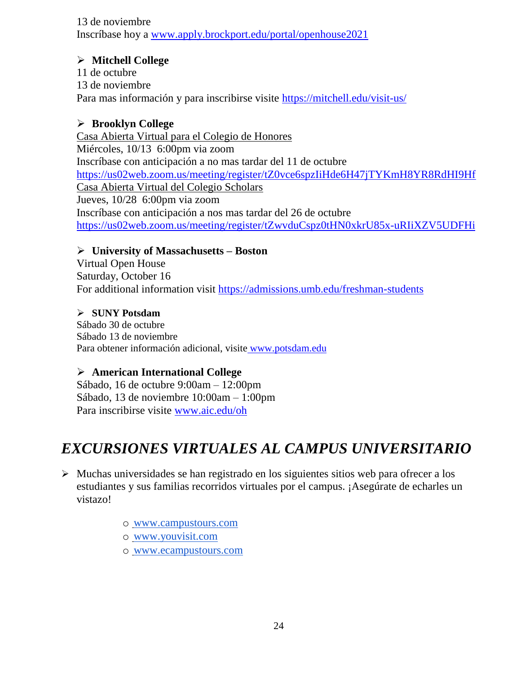13 de noviembre Inscríbase hoy a [www.apply.brockport.edu/portal/openhouse2021](http://www.apply.brockport.edu/portal/openhouse2021)

### **Mitchell College**

11 de octubre 13 de noviembre Para mas información y para inscribirse visite<https://mitchell.edu/visit-us/>

### **Brooklyn College**

Casa Abierta Virtual para el Colegio de Honores Miércoles, 10/13 6:00pm via zoom Inscríbase con anticipación a no mas tardar del 11 de octubre <https://us02web.zoom.us/meeting/register/tZ0vce6spzIiHde6H47jTYKmH8YR8RdHI9Hf> Casa Abierta Virtual del Colegio Scholars Jueves, 10/28 6:00pm via zoom Inscríbase con anticipación a nos mas tardar del 26 de octubre <https://us02web.zoom.us/meeting/register/tZwvduCspz0tHN0xkrU85x-uRIiXZV5UDFHi>

### **University of Massachusetts – Boston**

Virtual Open House Saturday, October 16 For additional information visit<https://admissions.umb.edu/freshman-students>

### **SUNY Potsdam**

Sábado 30 de octubre Sábado 13 de noviembre Para obtener información adicional, visite [www.potsdam.edu](http://www.potsdam.edu/)

### **American International College**

Sábado, 16 de octubre 9:00am – 12:00pm Sábado, 13 de noviembre 10:00am – 1:00pm Para inscribirse visite [www.aic.edu/oh](http://www.aic.edu/oh)

### *EXCURSIONES VIRTUALES AL CAMPUS UNIVERSITARIO*

- $\triangleright$  Muchas universidades se han registrado en los siguientes sitios web para ofrecer a los estudiantes y sus familias recorridos virtuales por el campus. ¡Asegúrate de echarles un vistazo!
	- o [www.campustours.com](http://www.campustours.com/)
	- o [www.youvisit.com](http://www.youvisit.com/)
	- o [www.ecampustours.com](http://www.ecampustours.com/)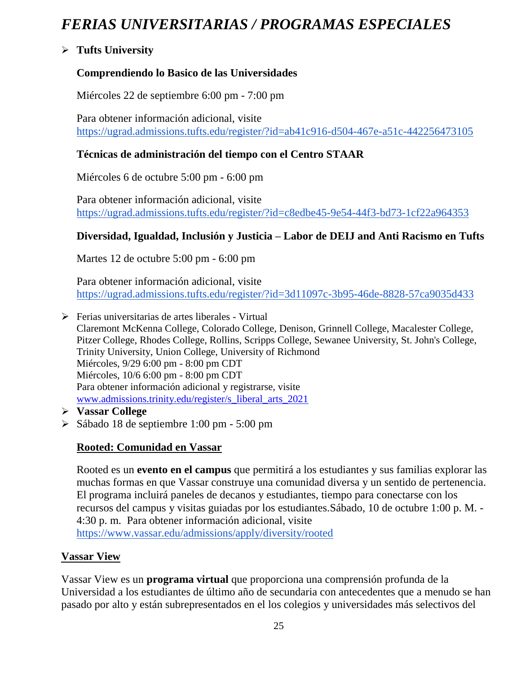# *FERIAS UNIVERSITARIAS / PROGRAMAS ESPECIALES*

### **Tufts University**

### **Comprendiendo lo Basico de las Universidades**

Miércoles 22 de septiembre 6:00 pm - 7:00 pm

Para obtener información adicional, visit[e](https://ugrad.admissions.tufts.edu/register/?id=ab41c916-d504-467e-a51c-442256473105) <https://ugrad.admissions.tufts.edu/register/?id=ab41c916-d504-467e-a51c-442256473105>

### **Técnicas de administración del tiempo con el Centro STAAR**

Miércoles 6 de octubre 5:00 pm - 6:00 pm

Para obtener información adicional, visit[e](https://ugrad.admissions.tufts.edu/register/?id=c8edbe45-9e54-44f3-bd73-1cf22a964353) <https://ugrad.admissions.tufts.edu/register/?id=c8edbe45-9e54-44f3-bd73-1cf22a964353>

### **Diversidad, Igualdad, Inclusión y Justicia – Labor de DEIJ and Anti Racismo en Tufts**

Martes 12 de octubre 5:00 pm - 6:00 pm

Para obtener información adicional, visit[e](https://ugrad.admissions.tufts.edu/register/?id=3d11097c-3b95-46de-8828-57ca9035d433) <https://ugrad.admissions.tufts.edu/register/?id=3d11097c-3b95-46de-8828-57ca9035d433>

 $\triangleright$  Ferias universitarias de artes liberales - Virtual Claremont McKenna College, Colorado College, Denison, Grinnell College, Macalester College, Pitzer College, Rhodes College, Rollins, Scripps College, Sewanee University, St. John's College, Trinity University, Union College, University of Richmond Miércoles, 9/29 6:00 pm - 8:00 pm CDT Miércoles, 10/6 6:00 pm - 8:00 pm CDT Para obtener información adicional y registrarse, visite www.admissions.trinity.edu/register/s\_liberal\_arts\_2021

- **Vassar College**
- Sábado 18 de septiembre 1:00 pm 5:00 pm

### **Rooted: Comunidad en Vassar**

Rooted es un **evento en el campus** que permitirá a los estudiantes y sus familias explorar las muchas formas en que Vassar construye una comunidad diversa y un sentido de pertenencia. El programa incluirá paneles de decanos y estudiantes, tiempo para conectarse con los recursos del campus y visitas guiadas por los estudiantes.Sábado, 10 de octubre 1:00 p. M. - 4:30 p. m. Para obtener información adicional, visit[e](https://www.vassar.edu/admissions/apply/diversity/rooted) <https://www.vassar.edu/admissions/apply/diversity/rooted>

### **Vassar View**

Vassar View es un **programa virtual** que proporciona una comprensión profunda de la Universidad a los estudiantes de último año de secundaria con antecedentes que a menudo se han pasado por alto y están subrepresentados en el los colegios y universidades más selectivos del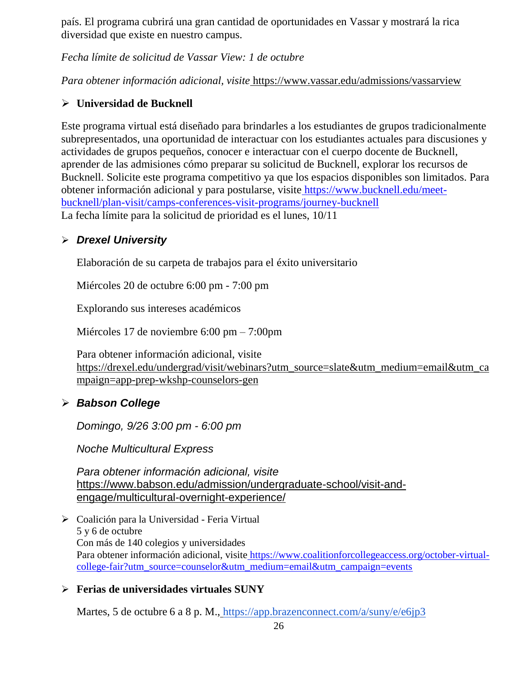país. El programa cubrirá una gran cantidad de oportunidades en Vassar y mostrará la rica diversidad que existe en nuestro campus.

*Fecha límite de solicitud de Vassar View: 1 de octubre*

*Para obtener información adicional, visite* <https://www.vassar.edu/admissions/vassarview>

### **Universidad de Bucknell**

Este programa virtual está diseñado para brindarles a los estudiantes de grupos tradicionalmente subrepresentados, una oportunidad de interactuar con los estudiantes actuales para discusiones y actividades de grupos pequeños, conocer e interactuar con el cuerpo docente de Bucknell, aprender de las admisiones cómo preparar su solicitud de Bucknell, explorar los recursos de Bucknell. Solicite este programa competitivo ya que los espacios disponibles son limitados. Para obtener información adicional y para postularse, visite [https://www.bucknell.edu/meet](https://www.bucknell.edu/meet-bucknell/plan-visit/camps-conferences-visit-programs/journey-bucknell)[bucknell/plan-visit/camps-conferences-visit-programs/journey-bucknell](https://www.bucknell.edu/meet-bucknell/plan-visit/camps-conferences-visit-programs/journey-bucknell) La fecha límite para la solicitud de prioridad es el lunes, 10/11

### *Drexel University*

Elaboración de su carpeta de trabajos para el éxito universitario

Miércoles 20 de octubre 6:00 pm - 7:00 pm

Explorando sus intereses académicos

Miércoles 17 de noviembre 6:00 pm – 7:00pm

Para obtener información adicional, visit[e](https://drexel.edu/undergrad/visit/webinars?utm_source=slate&utm_medium=email&utm_campaign=app-prep-wkshp-counselors-gen) [https://drexel.edu/undergrad/visit/webinars?utm\\_source=slate&utm\\_medium=email&utm\\_ca](https://drexel.edu/undergrad/visit/webinars?utm_source=slate&utm_medium=email&utm_campaign=app-prep-wkshp-counselors-gen) [mpaign=app-prep-wkshp-counselors-gen](https://drexel.edu/undergrad/visit/webinars?utm_source=slate&utm_medium=email&utm_campaign=app-prep-wkshp-counselors-gen)

### *Babson College*

*Domingo, 9/26 3:00 pm - 6:00 pm*

*Noche Multicultural Express*

*Para obtener información adicional, visit[e](https://www.babson.edu/admission/undergraduate-school/visit-and-engage/multicultural-overnight-experience/)* [https://www.babson.edu/admission/undergraduate-school/visit-and](https://www.babson.edu/admission/undergraduate-school/visit-and-engage/multicultural-overnight-experience/)[engage/multicultural-overnight-experience/](https://www.babson.edu/admission/undergraduate-school/visit-and-engage/multicultural-overnight-experience/)

 Coalición para la Universidad - Feria Virtual 5 y 6 de octubre Con más de 140 colegios y universidades Para obtener información adicional, visite [https://www.coalitionforcollegeaccess.org/october-virtual](https://www.coalitionforcollegeaccess.org/october-virtual-college-fair?utm_source=counselor&utm_medium=email&utm_campaign=events)[college-fair?utm\\_source=counselor&utm\\_medium=email&utm\\_campaign=events](https://www.coalitionforcollegeaccess.org/october-virtual-college-fair?utm_source=counselor&utm_medium=email&utm_campaign=events)

### **Ferias de universidades virtuales SUNY**

Martes, 5 de octubre 6 a 8 p. M., <https://app.brazenconnect.com/a/suny/e/e6jp3>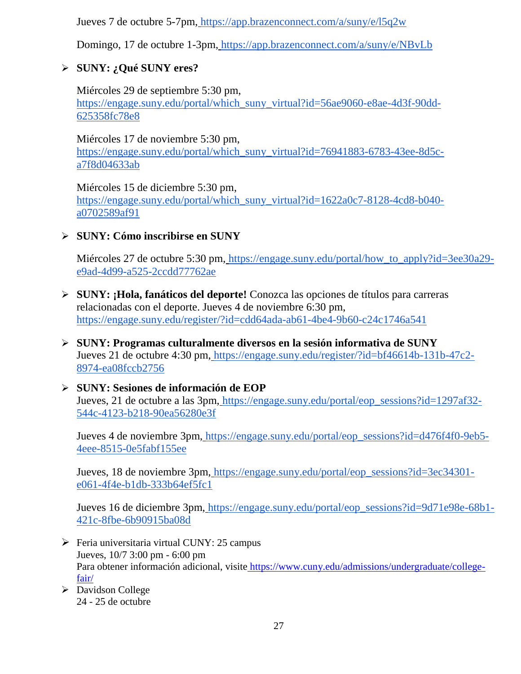Jueves 7 de octubre 5-7pm, <https://app.brazenconnect.com/a/suny/e/l5q2w>

Domingo, 17 de octubre 1-3pm, <https://app.brazenconnect.com/a/suny/e/NBvLb>

### **SUNY: ¿Qué SUNY eres?**

Miércoles 29 de septiembre 5:30 pm[,](https://engage.suny.edu/portal/which_suny_virtual?id=56ae9060-e8ae-4d3f-90dd-625358fc78e8) [https://engage.suny.edu/portal/which\\_suny\\_virtual?id=56ae9060-e8ae-4d3f-90dd-](https://engage.suny.edu/portal/which_suny_virtual?id=56ae9060-e8ae-4d3f-90dd-625358fc78e8)[625358fc78e8](https://engage.suny.edu/portal/which_suny_virtual?id=56ae9060-e8ae-4d3f-90dd-625358fc78e8)

Miércoles 17 de noviembre 5:30 pm[,](https://engage.suny.edu/portal/which_suny_virtual?id=76941883-6783-43ee-8d5c-a7f8d04633ab) [https://engage.suny.edu/portal/which\\_suny\\_virtual?id=76941883-6783-43ee-8d5c](https://engage.suny.edu/portal/which_suny_virtual?id=76941883-6783-43ee-8d5c-a7f8d04633ab)[a7f8d04633ab](https://engage.suny.edu/portal/which_suny_virtual?id=76941883-6783-43ee-8d5c-a7f8d04633ab)

Miércoles 15 de diciembre 5:30 pm[,](https://engage.suny.edu/portal/which_suny_virtual?id=1622a0c7-8128-4cd8-b040-a0702589af91) [https://engage.suny.edu/portal/which\\_suny\\_virtual?id=1622a0c7-8128-4cd8-b040](https://engage.suny.edu/portal/which_suny_virtual?id=1622a0c7-8128-4cd8-b040-a0702589af91) [a0702589af91](https://engage.suny.edu/portal/which_suny_virtual?id=1622a0c7-8128-4cd8-b040-a0702589af91)

**SUNY: Cómo inscribirse en SUNY**

Miércoles 27 de octubre 5:30 pm, [https://engage.suny.edu/portal/how\\_to\\_apply?id=3ee30a29](https://engage.suny.edu/portal/how_to_apply?id=3ee30a29-e9ad-4d99-a525-2ccdd77762ae) [e9ad-4d99-a525-2ccdd77762ae](https://engage.suny.edu/portal/how_to_apply?id=3ee30a29-e9ad-4d99-a525-2ccdd77762ae)

- **SUNY: ¡Hola, fanáticos del deporte!** Conozca las opciones de títulos para carreras relacionadas con el deporte. Jueves 4 de noviembre 6:30 pm[,](https://engage.suny.edu/register/?id=cdd64ada-ab61-4be4-9b60-c24c1746a541) <https://engage.suny.edu/register/?id=cdd64ada-ab61-4be4-9b60-c24c1746a541>
- **SUNY: Programas culturalmente diversos en la sesión informativa de SUNY** Jueves 21 de octubre 4:30 pm, [https://engage.suny.edu/register/?id=bf46614b-131b-47c2-](https://engage.suny.edu/register/?id=bf46614b-131b-47c2-8974-ea08fccb2756) [8974-ea08fccb2756](https://engage.suny.edu/register/?id=bf46614b-131b-47c2-8974-ea08fccb2756)
- **SUNY: Sesiones de información de EOP** Jueves, 21 de octubre a las 3pm, [https://engage.suny.edu/portal/eop\\_sessions?id=1297af32-](https://engage.suny.edu/portal/eop_sessions?id=1297af32-544c-4123-b218-90ea56280e3f) [544c-4123-b218-90ea56280e3f](https://engage.suny.edu/portal/eop_sessions?id=1297af32-544c-4123-b218-90ea56280e3f)

Jueves 4 de noviembre 3pm, [https://engage.suny.edu/portal/eop\\_sessions?id=d476f4f0-9eb5-](https://engage.suny.edu/portal/eop_sessions?id=d476f4f0-9eb5-4eee-8515-0e5fabf155ee) [4eee-8515-0e5fabf155ee](https://engage.suny.edu/portal/eop_sessions?id=d476f4f0-9eb5-4eee-8515-0e5fabf155ee)

Jueves, 18 de noviembre 3pm, [https://engage.suny.edu/portal/eop\\_sessions?id=3ec34301](https://engage.suny.edu/portal/eop_sessions?id=3ec34301-e061-4f4e-b1db-333b64ef5fc1) [e061-4f4e-b1db-333b64ef5fc1](https://engage.suny.edu/portal/eop_sessions?id=3ec34301-e061-4f4e-b1db-333b64ef5fc1)

Jueves 16 de diciembre 3pm, [https://engage.suny.edu/portal/eop\\_sessions?id=9d71e98e-68b1-](https://engage.suny.edu/portal/eop_sessions?id=9d71e98e-68b1-421c-8fbe-6b90915ba08d) [421c-8fbe-6b90915ba08d](https://engage.suny.edu/portal/eop_sessions?id=9d71e98e-68b1-421c-8fbe-6b90915ba08d)

- $\triangleright$  Feria universitaria virtual CUNY: 25 campus Jueves, 10/7 3:00 pm - 6:00 pm Para obtener información adicional, visite [https://www.cuny.edu/admissions/undergraduate/college](https://www.cuny.edu/admissions/undergraduate/college-fair/)[fair/](https://www.cuny.edu/admissions/undergraduate/college-fair/)
- Davidson College 24 - 25 de octubre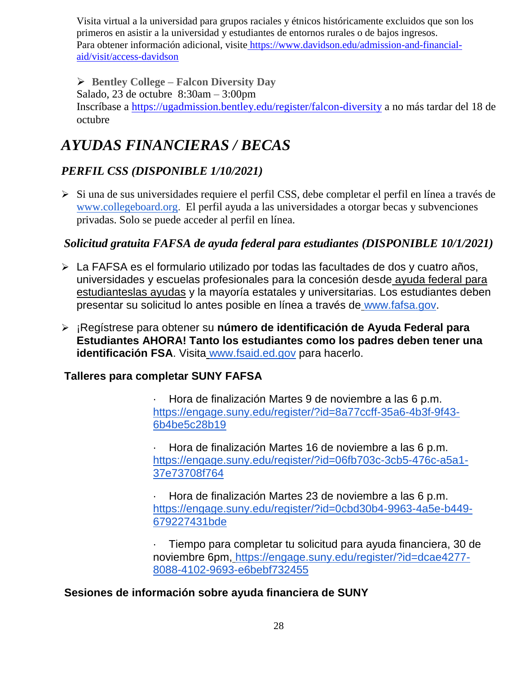Visita virtual a la universidad para grupos raciales y étnicos históricamente excluidos que son los primeros en asistir a la universidad y estudiantes de entornos rurales o de bajos ingresos. Para obtener información adicional, visite [https://www.davidson.edu/admission-and-financial](https://www.davidson.edu/admission-and-financial-aid/visit/access-davidson)[aid/visit/access-davidson](https://www.davidson.edu/admission-and-financial-aid/visit/access-davidson)

 **Bentley College – Falcon Diversity Day** Salado, 23 de octubre 8:30am – 3:00pm Inscríbase a <https://ugadmission.bentley.edu/register/falcon-diversity> a no más tardar del 18 de octubre

# *AYUDAS FINANCIERAS / BECAS*

### *PERFIL CSS (DISPONIBLE 1/10/2021)*

 Si una de sus universidades requiere el perfil CSS, debe completar el perfil en línea a través d[e](http://www.collegeboard.org/) [www.collegeboard.org](http://www.collegeboard.org/). El perfil ayuda a las universidades a otorgar becas y subvenciones privadas. Solo se puede acceder al perfil en línea.

### *Solicitud gratuita FAFSA de ayuda federal para estudiantes (DISPONIBLE 10/1/2021)*

- La FAFSA es el formulario utilizado por todas las facultades de dos y cuatro años, universidades y escuelas profesionales para la concesión desde [ayuda federal para](http://studentaid.ed.gov/students/publications/student_guide/2010-2011/english/typesofFSA_grants.htm)  [estudianteslas ayudas](http://studentaid.ed.gov/students/publications/student_guide/2010-2011/english/typesofFSA_grants.htm) y la mayoría estatales y universitarias. Los estudiantes deben presentar su solicitud lo antes posible en línea a través de [www.fafsa.gov.](http://www.fafsa.gov/)
- ¡Regístrese para obtener su **número de identificación de Ayuda Federal para Estudiantes AHORA! Tanto los estudiantes como los padres deben tener una identificación FSA**. Visita [www.fsaid.ed.gov](http://www.fsaid.ed.gov/) para hacerlo.

### **Talleres para completar SUNY FAFSA**

· Hora de finalización Martes 9 de noviembre a las 6 p.m[.](https://engage.suny.edu/register/?id=8a77ccff-35a6-4b3f-9f43-6b4be5c28b19) [https://engage.suny.edu/register/?id=8a77ccff-35a6-4b3f-9f43-](https://engage.suny.edu/register/?id=8a77ccff-35a6-4b3f-9f43-6b4be5c28b19) [6b4be5c28b19](https://engage.suny.edu/register/?id=8a77ccff-35a6-4b3f-9f43-6b4be5c28b19)

· Hora de finalización Martes 16 de noviembre a las 6 p.m[.](https://engage.suny.edu/register/?id=06fb703c-3cb5-476c-a5a1-37e73708f764) [https://engage.suny.edu/register/?id=06fb703c-3cb5-476c-a5a1-](https://engage.suny.edu/register/?id=06fb703c-3cb5-476c-a5a1-37e73708f764) [37e73708f764](https://engage.suny.edu/register/?id=06fb703c-3cb5-476c-a5a1-37e73708f764)

· Hora de finalización Martes 23 de noviembre a las 6 p.m[.](https://engage.suny.edu/register/?id=0cbd30b4-9963-4a5e-b449-679227431bde) [https://engage.suny.edu/register/?id=0cbd30b4-9963-4a5e-b449-](https://engage.suny.edu/register/?id=0cbd30b4-9963-4a5e-b449-679227431bde) [679227431bde](https://engage.suny.edu/register/?id=0cbd30b4-9963-4a5e-b449-679227431bde)

· Tiempo para completar tu solicitud para ayuda financiera, 30 de noviembre 6pm, [https://engage.suny.edu/register/?id=dcae4277-](https://engage.suny.edu/register/?id=dcae4277-8088-4102-9693-e6bebf732455) [8088-4102-9693-e6bebf732455](https://engage.suny.edu/register/?id=dcae4277-8088-4102-9693-e6bebf732455)

### **Sesiones de información sobre ayuda financiera de SUNY**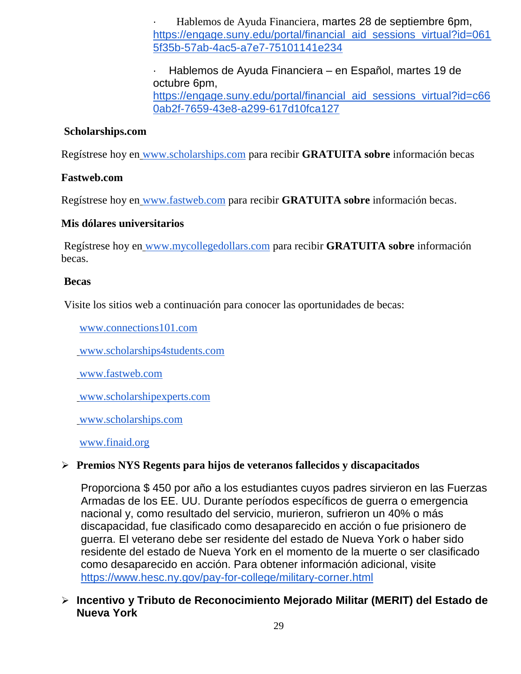· Hablemos de Ayuda Financiera, martes 28 de septiembre 6pm[,](https://engage.suny.edu/portal/financial_aid_sessions_virtual?id=0615f35b-57ab-4ac5-a7e7-75101141e234) [https://engage.suny.edu/portal/financial\\_aid\\_sessions\\_virtual?id=061](https://engage.suny.edu/portal/financial_aid_sessions_virtual?id=0615f35b-57ab-4ac5-a7e7-75101141e234) [5f35b-57ab-4ac5-a7e7-75101141e234](https://engage.suny.edu/portal/financial_aid_sessions_virtual?id=0615f35b-57ab-4ac5-a7e7-75101141e234)

· Hablemos de Ayuda Financiera – en Español, martes 19 de octubre 6pm[,](https://engage.suny.edu/portal/financial_aid_sessions_virtual?id=c660ab2f-7659-43e8-a299-617d10fca127) [https://engage.suny.edu/portal/financial\\_aid\\_sessions\\_virtual?id=c66](https://engage.suny.edu/portal/financial_aid_sessions_virtual?id=c660ab2f-7659-43e8-a299-617d10fca127) [0ab2f-7659-43e8-a299-617d10fca127](https://engage.suny.edu/portal/financial_aid_sessions_virtual?id=c660ab2f-7659-43e8-a299-617d10fca127)

### **Scholarships.com**

Regístrese hoy en [www.scholarships.com](http://www.scholarships.com/) para recibir **GRATUITA sobre** información becas

#### **Fastweb.com**

Regístrese hoy en [www.fastweb.com](http://www.fastweb.com/) para recibir **GRATUITA sobre** información becas.

### **Mis dólares universitarios**

Regístrese hoy en [www.mycollegedollars.com](http://www.mycollegedollars.com/) para recibir **GRATUITA sobre** información becas.

#### **Becas**

Visite los sitios web a continuación para conocer las oportunidades de becas:

[www.connections101.com](http://www.connections101.com/)

[www.scholarships4students.com](http://www.scholarships4students.com/)

[www.fastweb.com](http://www.fastweb.com/)

[www.scholarshipexperts.com](http://www.scholarshipexperts.com/)

[www.scholarships.com](http://www.scholarships.com/)

[www.finaid.org](http://www.finaid.org/)

### **Premios NYS Regents para hijos de veteranos fallecidos y discapacitados**

Proporciona \$ 450 por año a los estudiantes cuyos padres sirvieron en las Fuerzas Armadas de los EE. UU. Durante períodos específicos de guerra o emergencia nacional y, como resultado del servicio, murieron, sufrieron un 40% o más discapacidad, fue clasificado como desaparecido en acción o fue prisionero de guerra. El veterano debe ser residente del estado de Nueva York o haber sido residente del estado de Nueva York en el momento de la muerte o ser clasificado como desaparecido en acción. Para obtener información adicional, visit[e](https://www.hesc.ny.gov/pay-for-college/military-corner.html) <https://www.hesc.ny.gov/pay-for-college/military-corner.html>

 **Incentivo y Tributo de Reconocimiento Mejorado Militar (MERIT) del Estado de Nueva York**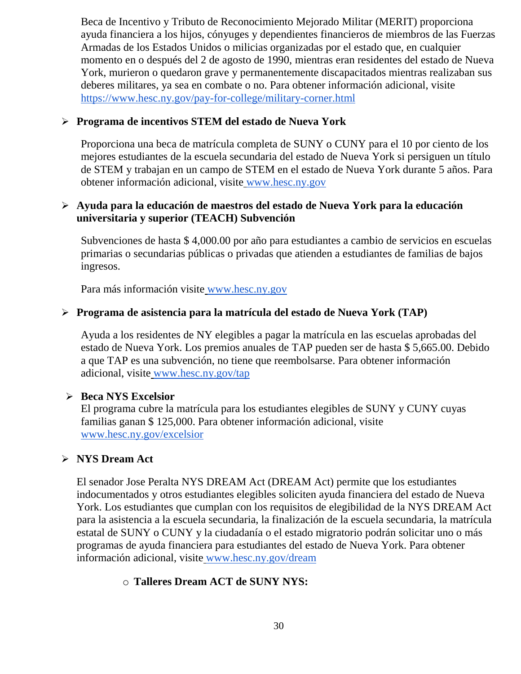Beca de Incentivo y Tributo de Reconocimiento Mejorado Militar (MERIT) proporciona ayuda financiera a los hijos, cónyuges y dependientes financieros de miembros de las Fuerzas Armadas de los Estados Unidos o milicias organizadas por el estado que, en cualquier momento en o después del 2 de agosto de 1990, mientras eran residentes del estado de Nueva York, murieron o quedaron grave y permanentemente discapacitados mientras realizaban sus deberes militares, ya sea en combate o no. Para obtener información adicional, visit[e](https://www.hesc.ny.gov/pay-for-college/military-corner.html) <https://www.hesc.ny.gov/pay-for-college/military-corner.html>

### **Programa de incentivos STEM del estado de Nueva York**

Proporciona una beca de matrícula completa de SUNY o CUNY para el 10 por ciento de los mejores estudiantes de la escuela secundaria del estado de Nueva York si persiguen un título de STEM y trabajan en un campo de STEM en el estado de Nueva York durante 5 años. Para obtener información adicional, visite [www.hesc.ny.gov](http://www.hesc.ny.gov/)

### **Ayuda para la educación de maestros del estado de Nueva York para la educación universitaria y superior (TEACH) Subvención**

Subvenciones de hasta \$ 4,000.00 por año para estudiantes a cambio de servicios en escuelas primarias o secundarias públicas o privadas que atienden a estudiantes de familias de bajos ingresos.

Para más información visite [www.hesc.ny.gov](http://www.hesc.ny.gov/) 

### **Programa de asistencia para la matrícula del estado de Nueva York (TAP)**

Ayuda a los residentes de NY elegibles a pagar la matrícula en las escuelas aprobadas del estado de Nueva York. Los premios anuales de TAP pueden ser de hasta \$ 5,665.00. Debido a que TAP es una subvención, no tiene que reembolsarse. Para obtener información adicional, visite [www.hesc.ny.gov/tap](http://www.hesc.ny.gov/tap)

#### **Beca NYS Excelsior**

El programa cubre la matrícula para los estudiantes elegibles de SUNY y CUNY cuyas familias ganan \$ 125,000. Para obtener información adicional, visit[e](http://www.hesc.ny.gov/) [www.hesc.ny.gov/](http://www.hesc.ny.gov/)excelsior

### **NYS Dream Act**

El senador Jose Peralta NYS DREAM Act (DREAM Act) permite que los estudiantes indocumentados y otros estudiantes elegibles soliciten ayuda financiera del estado de Nueva York. Los estudiantes que cumplan con los requisitos de elegibilidad de la NYS DREAM Act para la asistencia a la escuela secundaria, la finalización de la escuela secundaria, la matrícula estatal de SUNY o CUNY y la ciudadanía o el estado migratorio podrán solicitar uno o más programas de ayuda financiera para estudiantes del estado de Nueva York. Para obtener información adicional, visite [www.hesc.ny.gov/dream](http://www.hesc.ny.gov/dream)

### o **Talleres Dream ACT de SUNY NYS:**